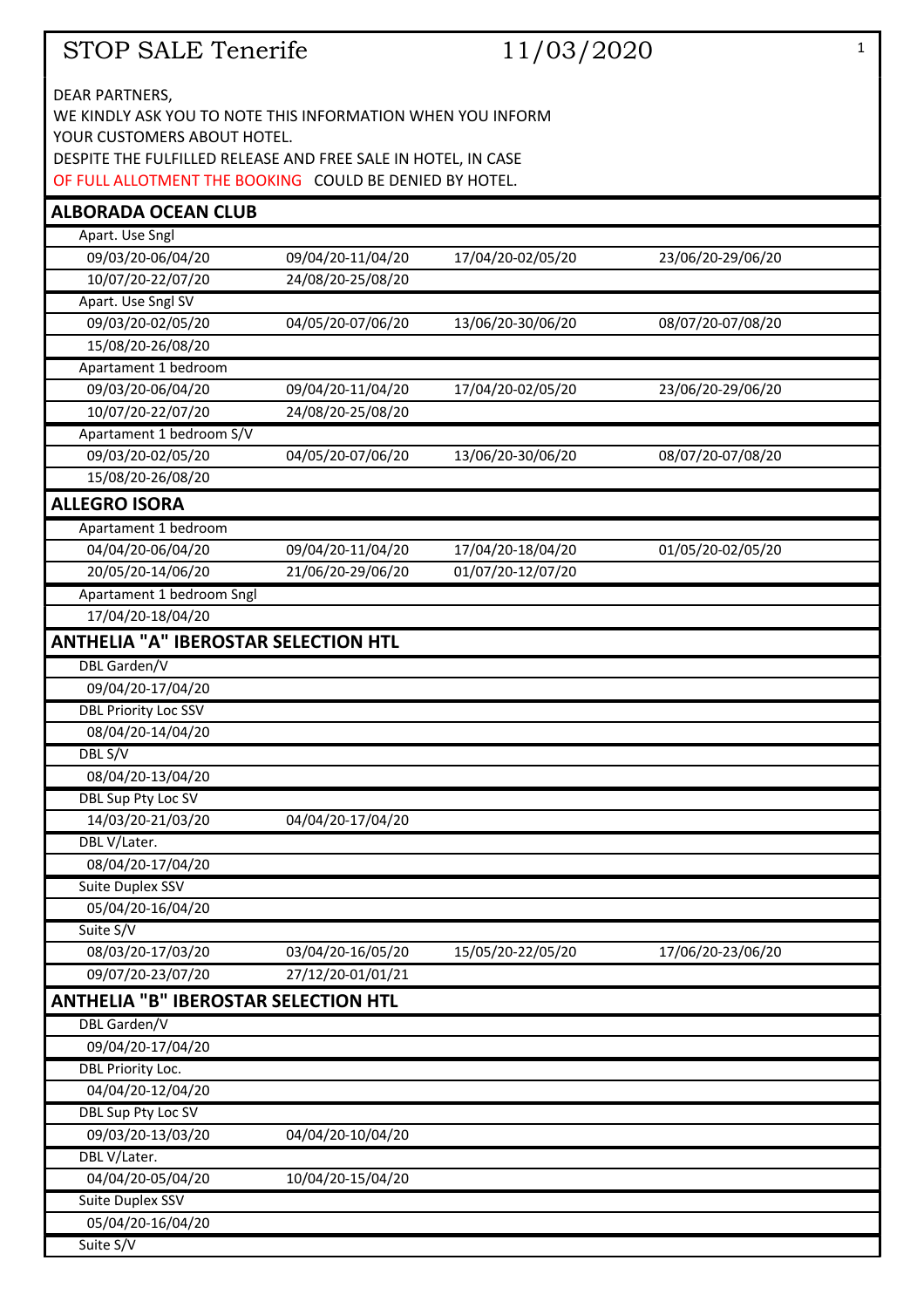| STOP SALE Tenerife |  |
|--------------------|--|
|--------------------|--|

| STOP SALE Tenerife                                                                        |                   | 11/03/2020        |                   | $\mathbf{1}$ |
|-------------------------------------------------------------------------------------------|-------------------|-------------------|-------------------|--------------|
|                                                                                           |                   |                   |                   |              |
| DEAR PARTNERS,                                                                            |                   |                   |                   |              |
| WE KINDLY ASK YOU TO NOTE THIS INFORMATION WHEN YOU INFORM<br>YOUR CUSTOMERS ABOUT HOTEL. |                   |                   |                   |              |
| DESPITE THE FULFILLED RELEASE AND FREE SALE IN HOTEL, IN CASE                             |                   |                   |                   |              |
| OF FULL ALLOTMENT THE BOOKING COULD BE DENIED BY HOTEL.                                   |                   |                   |                   |              |
|                                                                                           |                   |                   |                   |              |
| <b>ALBORADA OCEAN CLUB</b><br>Apart. Use Sngl                                             |                   |                   |                   |              |
| 09/03/20-06/04/20                                                                         | 09/04/20-11/04/20 | 17/04/20-02/05/20 | 23/06/20-29/06/20 |              |
| 10/07/20-22/07/20                                                                         | 24/08/20-25/08/20 |                   |                   |              |
| Apart. Use Sngl SV                                                                        |                   |                   |                   |              |
| 09/03/20-02/05/20                                                                         | 04/05/20-07/06/20 | 13/06/20-30/06/20 | 08/07/20-07/08/20 |              |
| 15/08/20-26/08/20                                                                         |                   |                   |                   |              |
| Apartament 1 bedroom                                                                      |                   |                   |                   |              |
| 09/03/20-06/04/20                                                                         | 09/04/20-11/04/20 | 17/04/20-02/05/20 | 23/06/20-29/06/20 |              |
| 10/07/20-22/07/20                                                                         | 24/08/20-25/08/20 |                   |                   |              |
| Apartament 1 bedroom S/V                                                                  |                   |                   |                   |              |
| 09/03/20-02/05/20                                                                         | 04/05/20-07/06/20 | 13/06/20-30/06/20 | 08/07/20-07/08/20 |              |
| 15/08/20-26/08/20                                                                         |                   |                   |                   |              |
| <b>ALLEGRO ISORA</b>                                                                      |                   |                   |                   |              |
| Apartament 1 bedroom                                                                      |                   |                   |                   |              |
| 04/04/20-06/04/20                                                                         | 09/04/20-11/04/20 | 17/04/20-18/04/20 | 01/05/20-02/05/20 |              |
| 20/05/20-14/06/20                                                                         | 21/06/20-29/06/20 | 01/07/20-12/07/20 |                   |              |
| Apartament 1 bedroom Sngl                                                                 |                   |                   |                   |              |
| 17/04/20-18/04/20                                                                         |                   |                   |                   |              |
| <b>ANTHELIA "A" IBEROSTAR SELECTION HTL</b>                                               |                   |                   |                   |              |
| DBL Garden/V                                                                              |                   |                   |                   |              |
| 09/04/20-17/04/20                                                                         |                   |                   |                   |              |
| <b>DBL Priority Loc SSV</b>                                                               |                   |                   |                   |              |
| 08/04/20-14/04/20                                                                         |                   |                   |                   |              |
| DBL S/V                                                                                   |                   |                   |                   |              |
| 08/04/20-13/04/20                                                                         |                   |                   |                   |              |
| DBL Sup Pty Loc SV                                                                        |                   |                   |                   |              |
| 14/03/20-21/03/20                                                                         | 04/04/20-17/04/20 |                   |                   |              |
| DBL V/Later.                                                                              |                   |                   |                   |              |
| 08/04/20-17/04/20                                                                         |                   |                   |                   |              |
| Suite Duplex SSV                                                                          |                   |                   |                   |              |
| 05/04/20-16/04/20                                                                         |                   |                   |                   |              |
| Suite S/V                                                                                 |                   |                   |                   |              |
| 08/03/20-17/03/20                                                                         | 03/04/20-16/05/20 | 15/05/20-22/05/20 | 17/06/20-23/06/20 |              |
| 09/07/20-23/07/20                                                                         | 27/12/20-01/01/21 |                   |                   |              |
| <b>ANTHELIA "B" IBEROSTAR SELECTION HTL</b>                                               |                   |                   |                   |              |
| <b>DBL</b> Garden/V                                                                       |                   |                   |                   |              |
| 09/04/20-17/04/20                                                                         |                   |                   |                   |              |
| DBL Priority Loc.                                                                         |                   |                   |                   |              |
| 04/04/20-12/04/20                                                                         |                   |                   |                   |              |
| <b>DBL Sup Pty Loc SV</b>                                                                 |                   |                   |                   |              |
| 09/03/20-13/03/20                                                                         | 04/04/20-10/04/20 |                   |                   |              |
| DBL V/Later.                                                                              |                   |                   |                   |              |
| 04/04/20-05/04/20                                                                         | 10/04/20-15/04/20 |                   |                   |              |
| Suite Duplex SSV                                                                          |                   |                   |                   |              |
| 05/04/20-16/04/20                                                                         |                   |                   |                   |              |
| Suite S/V                                                                                 |                   |                   |                   |              |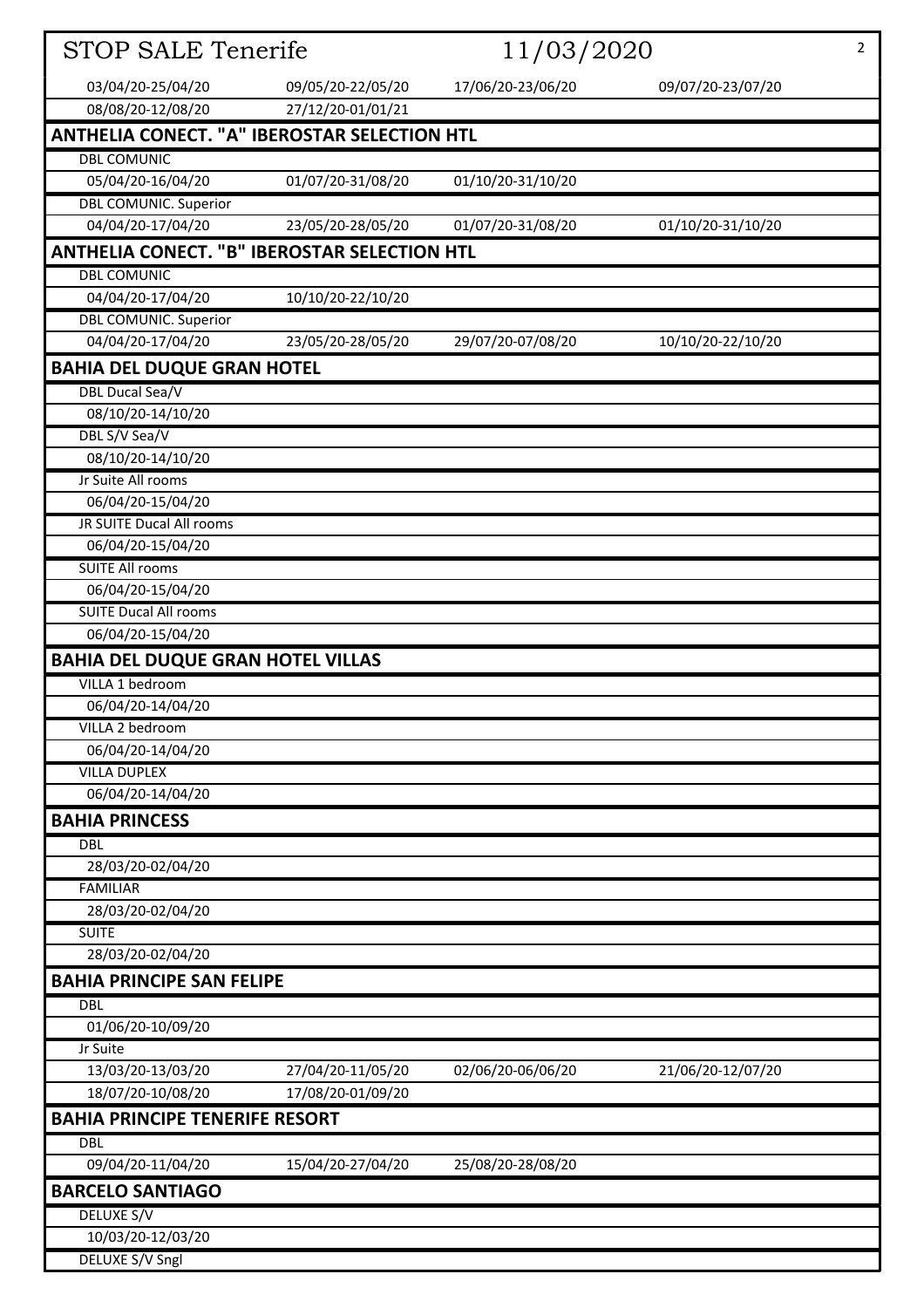| <b>STOP SALE Tenerife</b>                           | 11/03/2020        |                   | $\overline{2}$    |
|-----------------------------------------------------|-------------------|-------------------|-------------------|
| 03/04/20-25/04/20                                   | 09/05/20-22/05/20 | 17/06/20-23/06/20 | 09/07/20-23/07/20 |
| 08/08/20-12/08/20                                   | 27/12/20-01/01/21 |                   |                   |
| <b>ANTHELIA CONECT. "A" IBEROSTAR SELECTION HTL</b> |                   |                   |                   |
| <b>DBL COMUNIC</b>                                  |                   |                   |                   |
| 05/04/20-16/04/20                                   | 01/07/20-31/08/20 | 01/10/20-31/10/20 |                   |
| <b>DBL COMUNIC. Superior</b>                        |                   |                   |                   |
| 04/04/20-17/04/20                                   | 23/05/20-28/05/20 | 01/07/20-31/08/20 | 01/10/20-31/10/20 |
| <b>ANTHELIA CONECT. "B" IBEROSTAR SELECTION HTL</b> |                   |                   |                   |
| <b>DBL COMUNIC</b>                                  |                   |                   |                   |
| 04/04/20-17/04/20                                   | 10/10/20-22/10/20 |                   |                   |
| <b>DBL COMUNIC. Superior</b>                        |                   |                   |                   |
| 04/04/20-17/04/20                                   | 23/05/20-28/05/20 | 29/07/20-07/08/20 | 10/10/20-22/10/20 |
| <b>BAHIA DEL DUQUE GRAN HOTEL</b>                   |                   |                   |                   |
| <b>DBL Ducal Sea/V</b>                              |                   |                   |                   |
| 08/10/20-14/10/20                                   |                   |                   |                   |
| DBL S/V Sea/V                                       |                   |                   |                   |
| 08/10/20-14/10/20                                   |                   |                   |                   |
| Jr Suite All rooms                                  |                   |                   |                   |
| 06/04/20-15/04/20                                   |                   |                   |                   |
| <b>JR SUITE Ducal All rooms</b>                     |                   |                   |                   |
| 06/04/20-15/04/20                                   |                   |                   |                   |
| <b>SUITE All rooms</b>                              |                   |                   |                   |
| 06/04/20-15/04/20                                   |                   |                   |                   |
| <b>SUITE Ducal All rooms</b>                        |                   |                   |                   |
| 06/04/20-15/04/20                                   |                   |                   |                   |
| <b>BAHIA DEL DUQUE GRAN HOTEL VILLAS</b>            |                   |                   |                   |
| VILLA 1 bedroom                                     |                   |                   |                   |
| 06/04/20-14/04/20                                   |                   |                   |                   |
| VILLA 2 bedroom                                     |                   |                   |                   |
| 06/04/20-14/04/20                                   |                   |                   |                   |
| <b>VILLA DUPLEX</b>                                 |                   |                   |                   |
| 06/04/20-14/04/20                                   |                   |                   |                   |
| <b>BAHIA PRINCESS</b>                               |                   |                   |                   |
| <b>DBL</b>                                          |                   |                   |                   |
| 28/03/20-02/04/20                                   |                   |                   |                   |
| <b>FAMILIAR</b>                                     |                   |                   |                   |
| 28/03/20-02/04/20                                   |                   |                   |                   |
| <b>SUITE</b>                                        |                   |                   |                   |
| 28/03/20-02/04/20                                   |                   |                   |                   |
| <b>BAHIA PRINCIPE SAN FELIPE</b>                    |                   |                   |                   |
| <b>DBL</b>                                          |                   |                   |                   |
| 01/06/20-10/09/20                                   |                   |                   |                   |
| Jr Suite                                            |                   |                   |                   |
| 13/03/20-13/03/20                                   | 27/04/20-11/05/20 | 02/06/20-06/06/20 | 21/06/20-12/07/20 |
| 18/07/20-10/08/20                                   | 17/08/20-01/09/20 |                   |                   |
| <b>BAHIA PRINCIPE TENERIFE RESORT</b>               |                   |                   |                   |
| <b>DBL</b>                                          |                   |                   |                   |
| 09/04/20-11/04/20                                   | 15/04/20-27/04/20 | 25/08/20-28/08/20 |                   |
| <b>BARCELO SANTIAGO</b>                             |                   |                   |                   |
| DELUXE S/V                                          |                   |                   |                   |
| 10/03/20-12/03/20                                   |                   |                   |                   |
| <b>DELUXE S/V Sngl</b>                              |                   |                   |                   |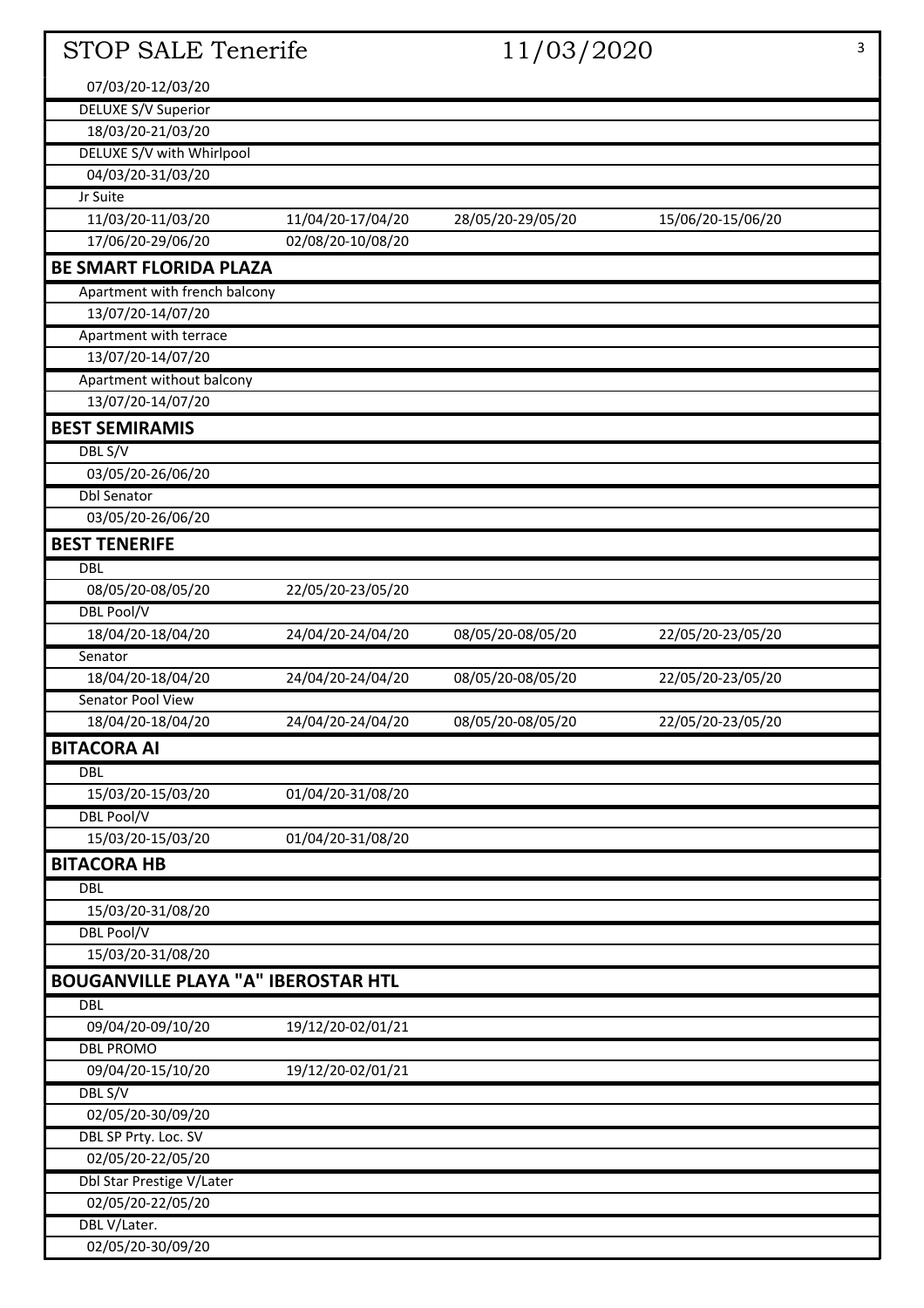| <b>STOP SALE Tenerife</b>                  |                   | 11/03/2020        |                   | 3 |
|--------------------------------------------|-------------------|-------------------|-------------------|---|
| 07/03/20-12/03/20                          |                   |                   |                   |   |
| <b>DELUXE S/V Superior</b>                 |                   |                   |                   |   |
| 18/03/20-21/03/20                          |                   |                   |                   |   |
| DELUXE S/V with Whirlpool                  |                   |                   |                   |   |
| 04/03/20-31/03/20                          |                   |                   |                   |   |
| Jr Suite                                   |                   |                   |                   |   |
| 11/03/20-11/03/20                          | 11/04/20-17/04/20 | 28/05/20-29/05/20 | 15/06/20-15/06/20 |   |
| 17/06/20-29/06/20                          | 02/08/20-10/08/20 |                   |                   |   |
| <b>BE SMART FLORIDA PLAZA</b>              |                   |                   |                   |   |
| Apartment with french balcony              |                   |                   |                   |   |
| 13/07/20-14/07/20                          |                   |                   |                   |   |
| Apartment with terrace                     |                   |                   |                   |   |
| 13/07/20-14/07/20                          |                   |                   |                   |   |
| Apartment without balcony                  |                   |                   |                   |   |
| 13/07/20-14/07/20                          |                   |                   |                   |   |
| <b>BEST SEMIRAMIS</b>                      |                   |                   |                   |   |
| DBL S/V                                    |                   |                   |                   |   |
| 03/05/20-26/06/20                          |                   |                   |                   |   |
| <b>Dbl Senator</b>                         |                   |                   |                   |   |
| 03/05/20-26/06/20                          |                   |                   |                   |   |
| <b>BEST TENERIFE</b>                       |                   |                   |                   |   |
| <b>DBL</b>                                 |                   |                   |                   |   |
| 08/05/20-08/05/20                          | 22/05/20-23/05/20 |                   |                   |   |
| DBL Pool/V                                 |                   |                   |                   |   |
| 18/04/20-18/04/20                          | 24/04/20-24/04/20 | 08/05/20-08/05/20 | 22/05/20-23/05/20 |   |
| Senator                                    |                   |                   |                   |   |
| 18/04/20-18/04/20                          | 24/04/20-24/04/20 | 08/05/20-08/05/20 | 22/05/20-23/05/20 |   |
| Senator Pool View                          |                   |                   |                   |   |
| 18/04/20-18/04/20                          | 24/04/20-24/04/20 | 08/05/20-08/05/20 | 22/05/20-23/05/20 |   |
| <b>BITACORA AI</b>                         |                   |                   |                   |   |
| <b>DBL</b>                                 |                   |                   |                   |   |
| 15/03/20-15/03/20                          | 01/04/20-31/08/20 |                   |                   |   |
| <b>DBL Pool/V</b>                          |                   |                   |                   |   |
| 15/03/20-15/03/20                          | 01/04/20-31/08/20 |                   |                   |   |
| <b>BITACORA HB</b>                         |                   |                   |                   |   |
| <b>DBL</b>                                 |                   |                   |                   |   |
| 15/03/20-31/08/20                          |                   |                   |                   |   |
| <b>DBL Pool/V</b>                          |                   |                   |                   |   |
| 15/03/20-31/08/20                          |                   |                   |                   |   |
| <b>BOUGANVILLE PLAYA "A" IBEROSTAR HTL</b> |                   |                   |                   |   |
| <b>DBL</b>                                 |                   |                   |                   |   |
| 09/04/20-09/10/20                          | 19/12/20-02/01/21 |                   |                   |   |
| <b>DBL PROMO</b>                           |                   |                   |                   |   |
| 09/04/20-15/10/20                          | 19/12/20-02/01/21 |                   |                   |   |
| DBL S/V                                    |                   |                   |                   |   |
| 02/05/20-30/09/20                          |                   |                   |                   |   |
| <b>DBL SP Prty. Loc. SV</b>                |                   |                   |                   |   |
| 02/05/20-22/05/20                          |                   |                   |                   |   |
| Dbl Star Prestige V/Later                  |                   |                   |                   |   |
| 02/05/20-22/05/20                          |                   |                   |                   |   |
| DBL V/Later.                               |                   |                   |                   |   |
| 02/05/20-30/09/20                          |                   |                   |                   |   |
|                                            |                   |                   |                   |   |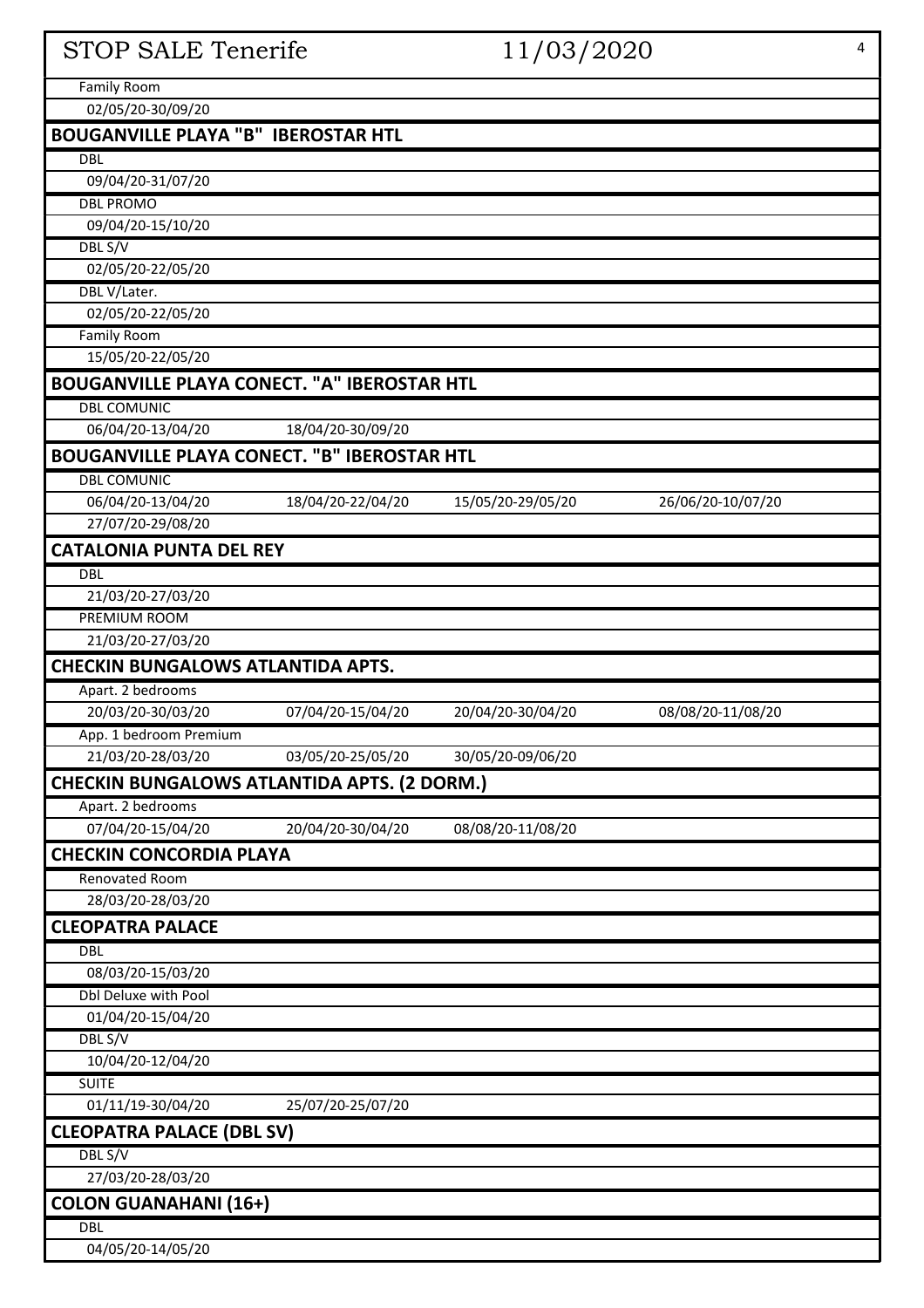# STOP SALE Tenerife 11/03/2020 4

Family Room

02/05/20-30/09/20

| 02/05/20-30/09/20                                  |                   |                   |                   |
|----------------------------------------------------|-------------------|-------------------|-------------------|
| <b>BOUGANVILLE PLAYA "B" IBEROSTAR HTL</b>         |                   |                   |                   |
| <b>DBL</b>                                         |                   |                   |                   |
| 09/04/20-31/07/20                                  |                   |                   |                   |
| <b>DBL PROMO</b>                                   |                   |                   |                   |
| 09/04/20-15/10/20                                  |                   |                   |                   |
| DBL S/V                                            |                   |                   |                   |
| 02/05/20-22/05/20                                  |                   |                   |                   |
| DBL V/Later.                                       |                   |                   |                   |
| 02/05/20-22/05/20                                  |                   |                   |                   |
| <b>Family Room</b>                                 |                   |                   |                   |
| 15/05/20-22/05/20                                  |                   |                   |                   |
| <b>BOUGANVILLE PLAYA CONECT. "A" IBEROSTAR HTL</b> |                   |                   |                   |
| <b>DBL COMUNIC</b>                                 |                   |                   |                   |
| 06/04/20-13/04/20                                  | 18/04/20-30/09/20 |                   |                   |
| <b>BOUGANVILLE PLAYA CONECT. "B" IBEROSTAR HTL</b> |                   |                   |                   |
| <b>DBL COMUNIC</b>                                 |                   |                   |                   |
| 06/04/20-13/04/20                                  | 18/04/20-22/04/20 | 15/05/20-29/05/20 | 26/06/20-10/07/20 |
| 27/07/20-29/08/20                                  |                   |                   |                   |
| <b>CATALONIA PUNTA DEL REY</b>                     |                   |                   |                   |
|                                                    |                   |                   |                   |
| <b>DBL</b><br>21/03/20-27/03/20                    |                   |                   |                   |
| <b>PREMIUM ROOM</b>                                |                   |                   |                   |
|                                                    |                   |                   |                   |
| 21/03/20-27/03/20                                  |                   |                   |                   |
| <b>CHECKIN BUNGALOWS ATLANTIDA APTS.</b>           |                   |                   |                   |
| Apart. 2 bedrooms                                  |                   |                   |                   |
| 20/03/20-30/03/20                                  | 07/04/20-15/04/20 | 20/04/20-30/04/20 | 08/08/20-11/08/20 |
| App. 1 bedroom Premium                             |                   |                   |                   |
| 21/03/20-28/03/20                                  | 03/05/20-25/05/20 | 30/05/20-09/06/20 |                   |
| <b>CHECKIN BUNGALOWS ATLANTIDA APTS. (2 DORM.)</b> |                   |                   |                   |
| Apart. 2 bedrooms                                  |                   |                   |                   |
| 07/04/20-15/04/20                                  | 20/04/20-30/04/20 | 08/08/20-11/08/20 |                   |
| <b>CHECKIN CONCORDIA PLAYA</b>                     |                   |                   |                   |
| <b>Renovated Room</b>                              |                   |                   |                   |
| 28/03/20-28/03/20                                  |                   |                   |                   |
| <b>CLEOPATRA PALACE</b>                            |                   |                   |                   |
| <b>DBL</b>                                         |                   |                   |                   |
| 08/03/20-15/03/20                                  |                   |                   |                   |
| Dbl Deluxe with Pool                               |                   |                   |                   |
| 01/04/20-15/04/20                                  |                   |                   |                   |
| DBL S/V                                            |                   |                   |                   |
| 10/04/20-12/04/20                                  |                   |                   |                   |
| <b>SUITE</b>                                       |                   |                   |                   |
| 01/11/19-30/04/20                                  | 25/07/20-25/07/20 |                   |                   |
| <b>CLEOPATRA PALACE (DBL SV)</b>                   |                   |                   |                   |
| DBL S/V                                            |                   |                   |                   |
| 27/03/20-28/03/20                                  |                   |                   |                   |
| <b>COLON GUANAHANI (16+)</b>                       |                   |                   |                   |
| <b>DBL</b>                                         |                   |                   |                   |
| 04/05/20-14/05/20                                  |                   |                   |                   |
|                                                    |                   |                   |                   |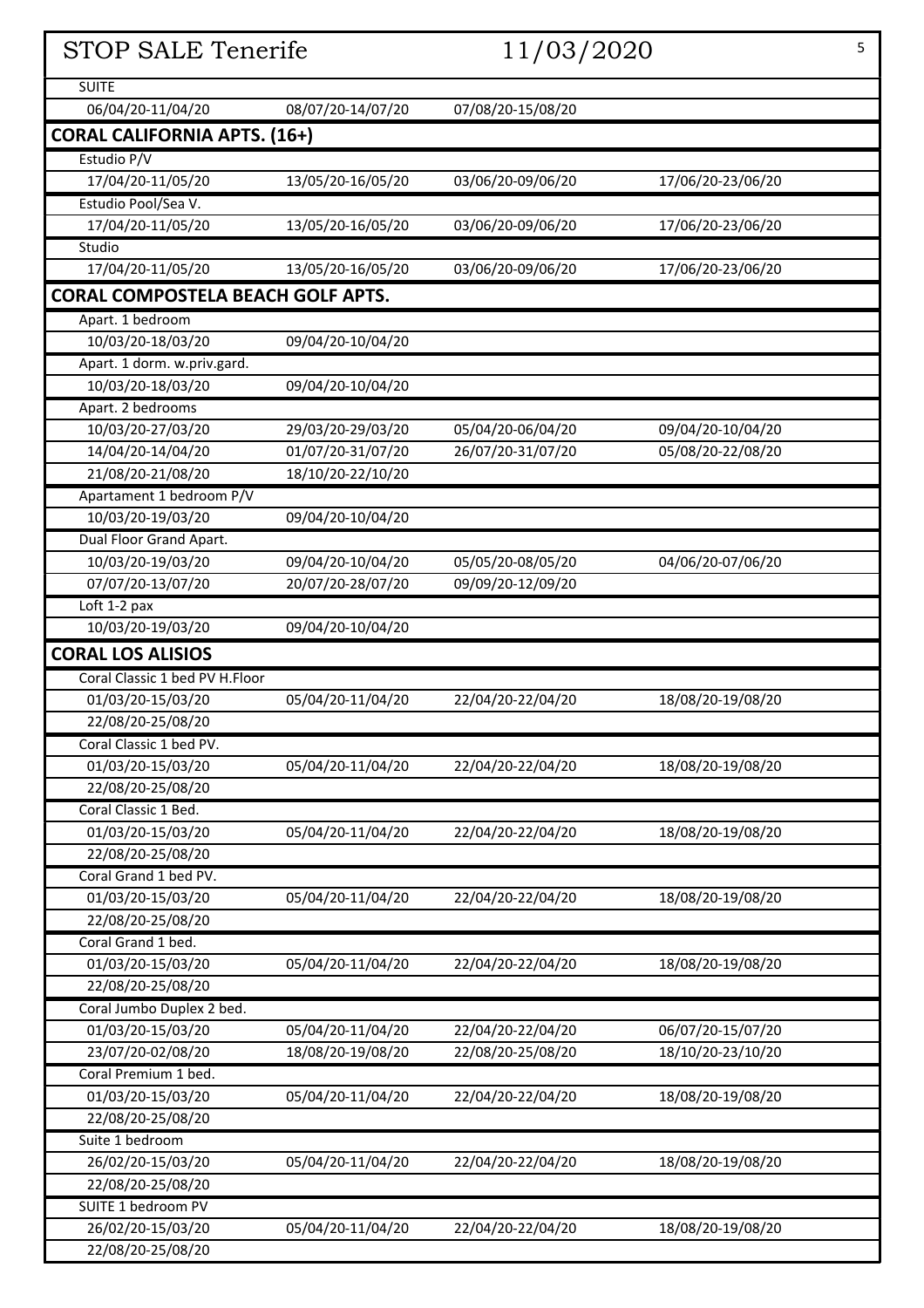| STOP SALE Tenerife                       |                   | 11/03/2020        |                   | 5 |
|------------------------------------------|-------------------|-------------------|-------------------|---|
| <b>SUITE</b>                             |                   |                   |                   |   |
| 06/04/20-11/04/20                        | 08/07/20-14/07/20 | 07/08/20-15/08/20 |                   |   |
| <b>CORAL CALIFORNIA APTS. (16+)</b>      |                   |                   |                   |   |
| Estudio P/V                              |                   |                   |                   |   |
| 17/04/20-11/05/20                        | 13/05/20-16/05/20 | 03/06/20-09/06/20 | 17/06/20-23/06/20 |   |
| Estudio Pool/Sea V.                      |                   |                   |                   |   |
| 17/04/20-11/05/20                        | 13/05/20-16/05/20 | 03/06/20-09/06/20 | 17/06/20-23/06/20 |   |
| Studio                                   |                   |                   |                   |   |
| 17/04/20-11/05/20                        | 13/05/20-16/05/20 | 03/06/20-09/06/20 | 17/06/20-23/06/20 |   |
|                                          |                   |                   |                   |   |
| <b>CORAL COMPOSTELA BEACH GOLF APTS.</b> |                   |                   |                   |   |
| Apart. 1 bedroom                         |                   |                   |                   |   |
| 10/03/20-18/03/20                        | 09/04/20-10/04/20 |                   |                   |   |
| Apart. 1 dorm. w.priv.gard.              |                   |                   |                   |   |
| 10/03/20-18/03/20                        | 09/04/20-10/04/20 |                   |                   |   |
| Apart. 2 bedrooms                        |                   |                   |                   |   |
| 10/03/20-27/03/20                        | 29/03/20-29/03/20 | 05/04/20-06/04/20 | 09/04/20-10/04/20 |   |
| 14/04/20-14/04/20                        | 01/07/20-31/07/20 | 26/07/20-31/07/20 | 05/08/20-22/08/20 |   |
| 21/08/20-21/08/20                        | 18/10/20-22/10/20 |                   |                   |   |
| Apartament 1 bedroom P/V                 |                   |                   |                   |   |
| 10/03/20-19/03/20                        | 09/04/20-10/04/20 |                   |                   |   |
| Dual Floor Grand Apart.                  |                   |                   |                   |   |
| 10/03/20-19/03/20                        | 09/04/20-10/04/20 | 05/05/20-08/05/20 | 04/06/20-07/06/20 |   |
| 07/07/20-13/07/20                        | 20/07/20-28/07/20 | 09/09/20-12/09/20 |                   |   |
| Loft 1-2 pax                             |                   |                   |                   |   |
| 10/03/20-19/03/20                        | 09/04/20-10/04/20 |                   |                   |   |
| <b>CORAL LOS ALISIOS</b>                 |                   |                   |                   |   |
| Coral Classic 1 bed PV H.Floor           |                   |                   |                   |   |
| 01/03/20-15/03/20                        | 05/04/20-11/04/20 | 22/04/20-22/04/20 | 18/08/20-19/08/20 |   |
| 22/08/20-25/08/20                        |                   |                   |                   |   |
| Coral Classic 1 bed PV.                  |                   |                   |                   |   |
| 01/03/20-15/03/20                        | 05/04/20-11/04/20 | 22/04/20-22/04/20 | 18/08/20-19/08/20 |   |
| 22/08/20-25/08/20                        |                   |                   |                   |   |
| Coral Classic 1 Bed.                     |                   |                   |                   |   |
| 01/03/20-15/03/20                        | 05/04/20-11/04/20 | 22/04/20-22/04/20 | 18/08/20-19/08/20 |   |
| 22/08/20-25/08/20                        |                   |                   |                   |   |
| Coral Grand 1 bed PV.                    |                   |                   |                   |   |
| 01/03/20-15/03/20                        | 05/04/20-11/04/20 | 22/04/20-22/04/20 | 18/08/20-19/08/20 |   |
| 22/08/20-25/08/20                        |                   |                   |                   |   |
| Coral Grand 1 bed.                       |                   |                   |                   |   |
| 01/03/20-15/03/20                        | 05/04/20-11/04/20 | 22/04/20-22/04/20 | 18/08/20-19/08/20 |   |
| 22/08/20-25/08/20                        |                   |                   |                   |   |
| Coral Jumbo Duplex 2 bed.                |                   |                   |                   |   |
| 01/03/20-15/03/20                        | 05/04/20-11/04/20 | 22/04/20-22/04/20 | 06/07/20-15/07/20 |   |
| 23/07/20-02/08/20                        | 18/08/20-19/08/20 | 22/08/20-25/08/20 | 18/10/20-23/10/20 |   |
| Coral Premium 1 bed.                     |                   |                   |                   |   |
| 01/03/20-15/03/20                        | 05/04/20-11/04/20 | 22/04/20-22/04/20 | 18/08/20-19/08/20 |   |
| 22/08/20-25/08/20                        |                   |                   |                   |   |
| Suite 1 bedroom                          |                   |                   |                   |   |
| 26/02/20-15/03/20                        | 05/04/20-11/04/20 | 22/04/20-22/04/20 | 18/08/20-19/08/20 |   |
| 22/08/20-25/08/20                        |                   |                   |                   |   |
| SUITE 1 bedroom PV                       |                   |                   |                   |   |
| 26/02/20-15/03/20                        | 05/04/20-11/04/20 | 22/04/20-22/04/20 | 18/08/20-19/08/20 |   |
| 22/08/20-25/08/20                        |                   |                   |                   |   |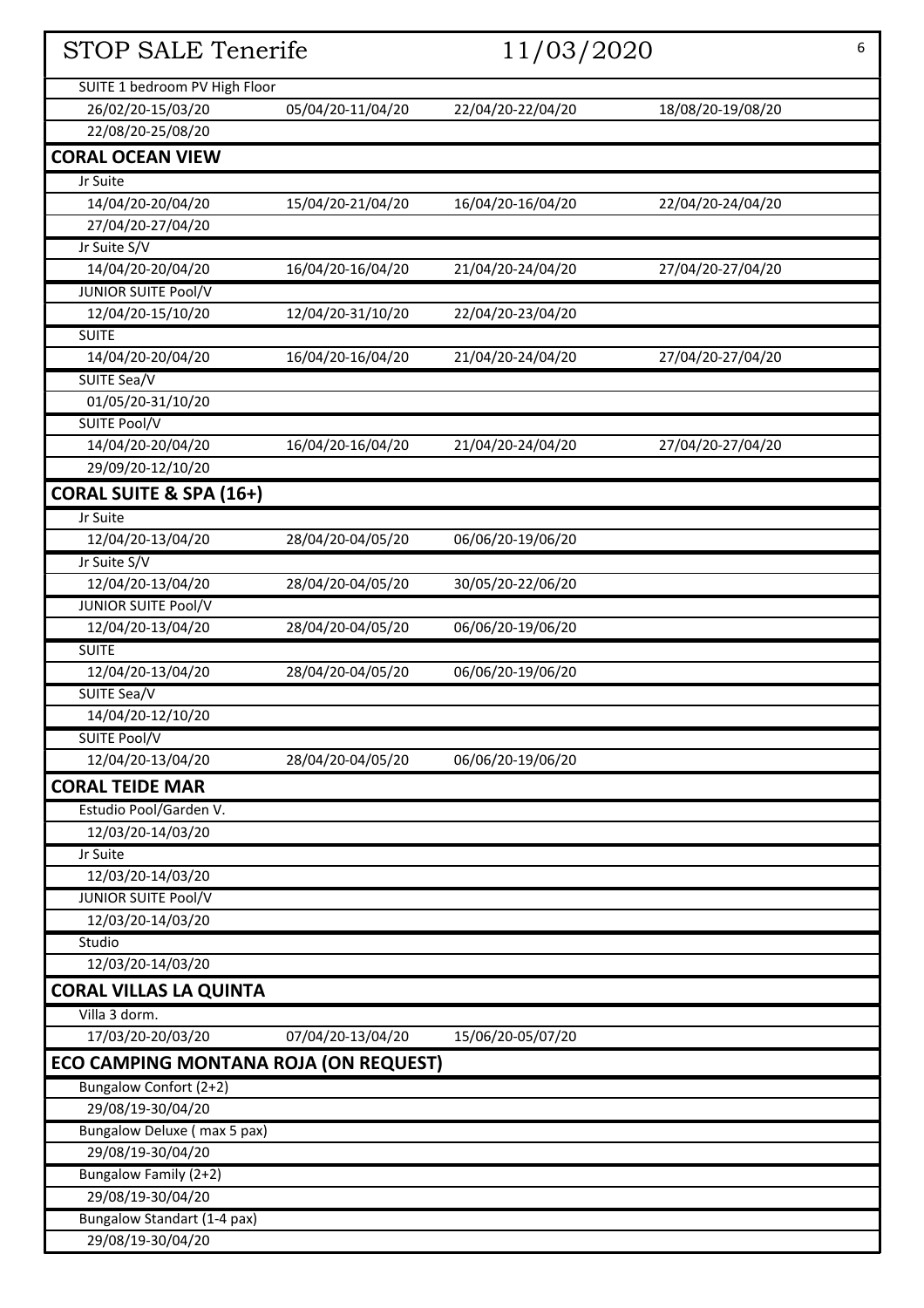|                                              |                   |                   | <b>STOP SALE Tenerife</b><br>11/03/2020 |  |  |  |
|----------------------------------------------|-------------------|-------------------|-----------------------------------------|--|--|--|
| SUITE 1 bedroom PV High Floor                |                   |                   |                                         |  |  |  |
| 26/02/20-15/03/20                            | 05/04/20-11/04/20 | 22/04/20-22/04/20 | 18/08/20-19/08/20                       |  |  |  |
| 22/08/20-25/08/20                            |                   |                   |                                         |  |  |  |
| <b>CORAL OCEAN VIEW</b>                      |                   |                   |                                         |  |  |  |
| Jr Suite                                     |                   |                   |                                         |  |  |  |
| 14/04/20-20/04/20                            | 15/04/20-21/04/20 | 16/04/20-16/04/20 | 22/04/20-24/04/20                       |  |  |  |
| 27/04/20-27/04/20                            |                   |                   |                                         |  |  |  |
| Jr Suite S/V                                 |                   |                   |                                         |  |  |  |
| 14/04/20-20/04/20                            | 16/04/20-16/04/20 | 21/04/20-24/04/20 | 27/04/20-27/04/20                       |  |  |  |
| <b>JUNIOR SUITE Pool/V</b>                   |                   |                   |                                         |  |  |  |
| 12/04/20-15/10/20                            | 12/04/20-31/10/20 | 22/04/20-23/04/20 |                                         |  |  |  |
| <b>SUITE</b>                                 |                   |                   |                                         |  |  |  |
| 14/04/20-20/04/20                            | 16/04/20-16/04/20 | 21/04/20-24/04/20 | 27/04/20-27/04/20                       |  |  |  |
| SUITE Sea/V                                  |                   |                   |                                         |  |  |  |
| 01/05/20-31/10/20                            |                   |                   |                                         |  |  |  |
| SUITE Pool/V                                 |                   |                   |                                         |  |  |  |
| 14/04/20-20/04/20                            | 16/04/20-16/04/20 | 21/04/20-24/04/20 | 27/04/20-27/04/20                       |  |  |  |
| 29/09/20-12/10/20                            |                   |                   |                                         |  |  |  |
| <b>CORAL SUITE &amp; SPA (16+)</b>           |                   |                   |                                         |  |  |  |
| Jr Suite                                     |                   |                   |                                         |  |  |  |
| 12/04/20-13/04/20                            | 28/04/20-04/05/20 | 06/06/20-19/06/20 |                                         |  |  |  |
| Jr Suite S/V                                 |                   |                   |                                         |  |  |  |
| 12/04/20-13/04/20                            | 28/04/20-04/05/20 | 30/05/20-22/06/20 |                                         |  |  |  |
| <b>JUNIOR SUITE Pool/V</b>                   |                   |                   |                                         |  |  |  |
| 12/04/20-13/04/20                            | 28/04/20-04/05/20 | 06/06/20-19/06/20 |                                         |  |  |  |
| <b>SUITE</b>                                 |                   |                   |                                         |  |  |  |
| 12/04/20-13/04/20                            | 28/04/20-04/05/20 | 06/06/20-19/06/20 |                                         |  |  |  |
| SUITE Sea/V                                  |                   |                   |                                         |  |  |  |
| 14/04/20-12/10/20                            |                   |                   |                                         |  |  |  |
| SUITE Pool/V                                 |                   |                   |                                         |  |  |  |
| 12/04/20-13/04/20                            | 28/04/20-04/05/20 | 06/06/20-19/06/20 |                                         |  |  |  |
| <b>CORAL TEIDE MAR</b>                       |                   |                   |                                         |  |  |  |
| Estudio Pool/Garden V.                       |                   |                   |                                         |  |  |  |
| 12/03/20-14/03/20                            |                   |                   |                                         |  |  |  |
| Jr Suite                                     |                   |                   |                                         |  |  |  |
| 12/03/20-14/03/20                            |                   |                   |                                         |  |  |  |
| JUNIOR SUITE Pool/V                          |                   |                   |                                         |  |  |  |
| 12/03/20-14/03/20                            |                   |                   |                                         |  |  |  |
| Studio                                       |                   |                   |                                         |  |  |  |
| 12/03/20-14/03/20                            |                   |                   |                                         |  |  |  |
| <b>CORAL VILLAS LA QUINTA</b>                |                   |                   |                                         |  |  |  |
| Villa 3 dorm.                                |                   |                   |                                         |  |  |  |
| 17/03/20-20/03/20                            | 07/04/20-13/04/20 | 15/06/20-05/07/20 |                                         |  |  |  |
| <b>ECO CAMPING MONTANA ROJA (ON REQUEST)</b> |                   |                   |                                         |  |  |  |
| Bungalow Confort (2+2)                       |                   |                   |                                         |  |  |  |
| 29/08/19-30/04/20                            |                   |                   |                                         |  |  |  |
| Bungalow Deluxe (max 5 pax)                  |                   |                   |                                         |  |  |  |
| 29/08/19-30/04/20                            |                   |                   |                                         |  |  |  |
| Bungalow Family (2+2)                        |                   |                   |                                         |  |  |  |
| 29/08/19-30/04/20                            |                   |                   |                                         |  |  |  |
| Bungalow Standart (1-4 pax)                  |                   |                   |                                         |  |  |  |
| 29/08/19-30/04/20                            |                   |                   |                                         |  |  |  |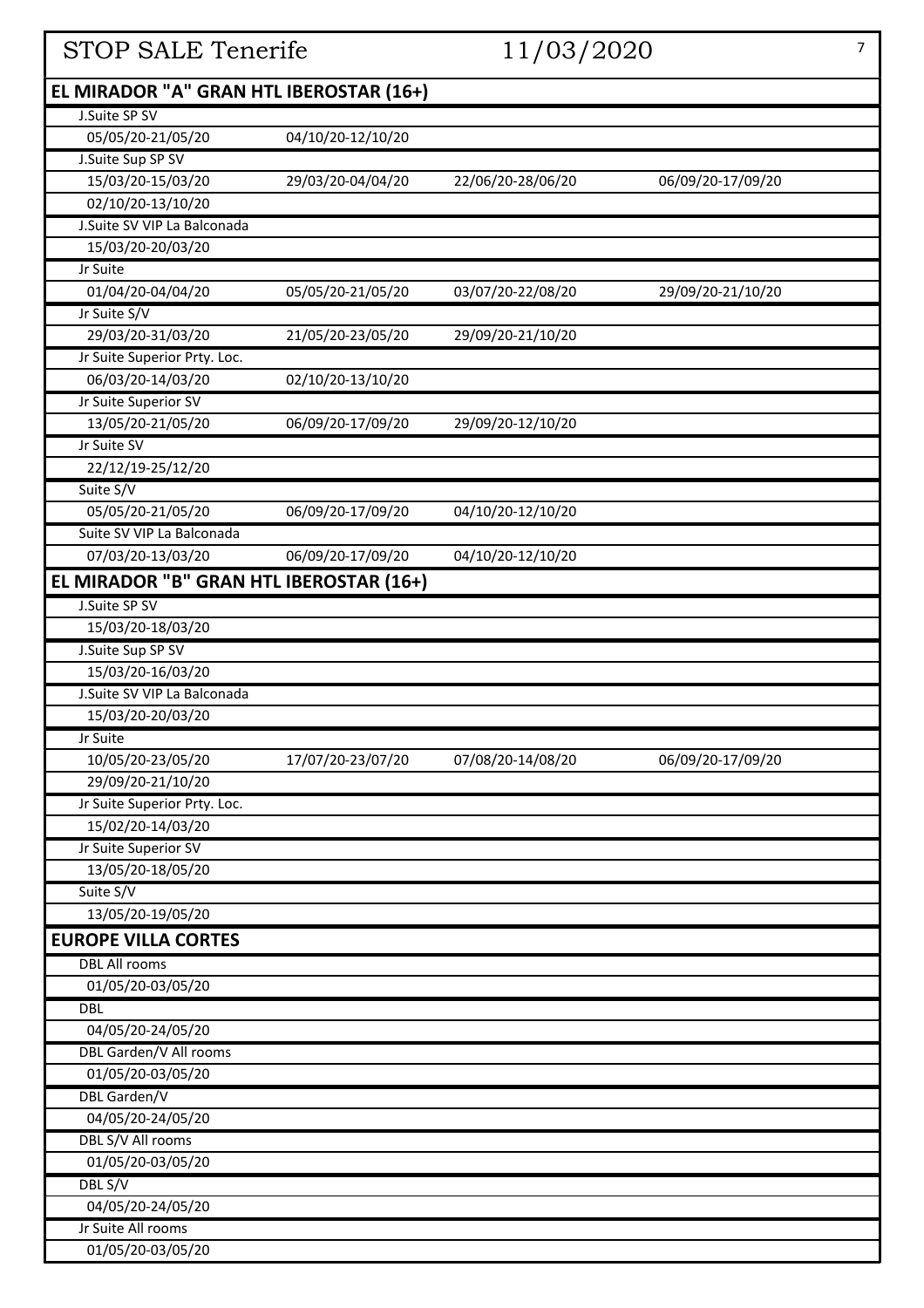| <b>STOP SALE Tenerife</b>               |                   | 11/03/2020        |                   | $\overline{7}$ |
|-----------------------------------------|-------------------|-------------------|-------------------|----------------|
| EL MIRADOR "A" GRAN HTL IBEROSTAR (16+) |                   |                   |                   |                |
| J.Suite SP SV                           |                   |                   |                   |                |
| 05/05/20-21/05/20                       | 04/10/20-12/10/20 |                   |                   |                |
| J.Suite Sup SP SV                       |                   |                   |                   |                |
| 15/03/20-15/03/20                       | 29/03/20-04/04/20 | 22/06/20-28/06/20 | 06/09/20-17/09/20 |                |
| 02/10/20-13/10/20                       |                   |                   |                   |                |
| J.Suite SV VIP La Balconada             |                   |                   |                   |                |
| 15/03/20-20/03/20                       |                   |                   |                   |                |
| Jr Suite                                |                   |                   |                   |                |
| 01/04/20-04/04/20                       | 05/05/20-21/05/20 | 03/07/20-22/08/20 | 29/09/20-21/10/20 |                |
| Jr Suite S/V                            |                   |                   |                   |                |
| 29/03/20-31/03/20                       | 21/05/20-23/05/20 | 29/09/20-21/10/20 |                   |                |
| Jr Suite Superior Prty. Loc.            |                   |                   |                   |                |
| 06/03/20-14/03/20                       | 02/10/20-13/10/20 |                   |                   |                |
| Jr Suite Superior SV                    |                   |                   |                   |                |
| 13/05/20-21/05/20                       | 06/09/20-17/09/20 | 29/09/20-12/10/20 |                   |                |
| Jr Suite SV                             |                   |                   |                   |                |
| 22/12/19-25/12/20                       |                   |                   |                   |                |
| Suite S/V                               |                   |                   |                   |                |
| 05/05/20-21/05/20                       | 06/09/20-17/09/20 | 04/10/20-12/10/20 |                   |                |
| Suite SV VIP La Balconada               |                   |                   |                   |                |
| 07/03/20-13/03/20                       | 06/09/20-17/09/20 | 04/10/20-12/10/20 |                   |                |
| EL MIRADOR "B" GRAN HTL IBEROSTAR (16+) |                   |                   |                   |                |
| J.Suite SP SV                           |                   |                   |                   |                |
| 15/03/20-18/03/20                       |                   |                   |                   |                |
| J.Suite Sup SP SV                       |                   |                   |                   |                |
| 15/03/20-16/03/20                       |                   |                   |                   |                |
| J.Suite SV VIP La Balconada             |                   |                   |                   |                |
| 15/03/20-20/03/20                       |                   |                   |                   |                |
| Jr Suite                                |                   |                   |                   |                |
| 10/05/20-23/05/20                       | 17/07/20-23/07/20 | 07/08/20-14/08/20 | 06/09/20-17/09/20 |                |
| 29/09/20-21/10/20                       |                   |                   |                   |                |
| Jr Suite Superior Prty. Loc.            |                   |                   |                   |                |
| 15/02/20-14/03/20                       |                   |                   |                   |                |
| Jr Suite Superior SV                    |                   |                   |                   |                |
| 13/05/20-18/05/20                       |                   |                   |                   |                |
| Suite S/V                               |                   |                   |                   |                |
| 13/05/20-19/05/20                       |                   |                   |                   |                |
| <b>EUROPE VILLA CORTES</b>              |                   |                   |                   |                |
| <b>DBL All rooms</b>                    |                   |                   |                   |                |
| 01/05/20-03/05/20                       |                   |                   |                   |                |
| <b>DBL</b>                              |                   |                   |                   |                |
| 04/05/20-24/05/20                       |                   |                   |                   |                |
| DBL Garden/V All rooms                  |                   |                   |                   |                |
| 01/05/20-03/05/20                       |                   |                   |                   |                |
| DBL Garden/V                            |                   |                   |                   |                |
| 04/05/20-24/05/20                       |                   |                   |                   |                |
| DBL S/V All rooms                       |                   |                   |                   |                |
| 01/05/20-03/05/20                       |                   |                   |                   |                |
| DBL S/V                                 |                   |                   |                   |                |
| 04/05/20-24/05/20                       |                   |                   |                   |                |
| Jr Suite All rooms                      |                   |                   |                   |                |
| 01/05/20-03/05/20                       |                   |                   |                   |                |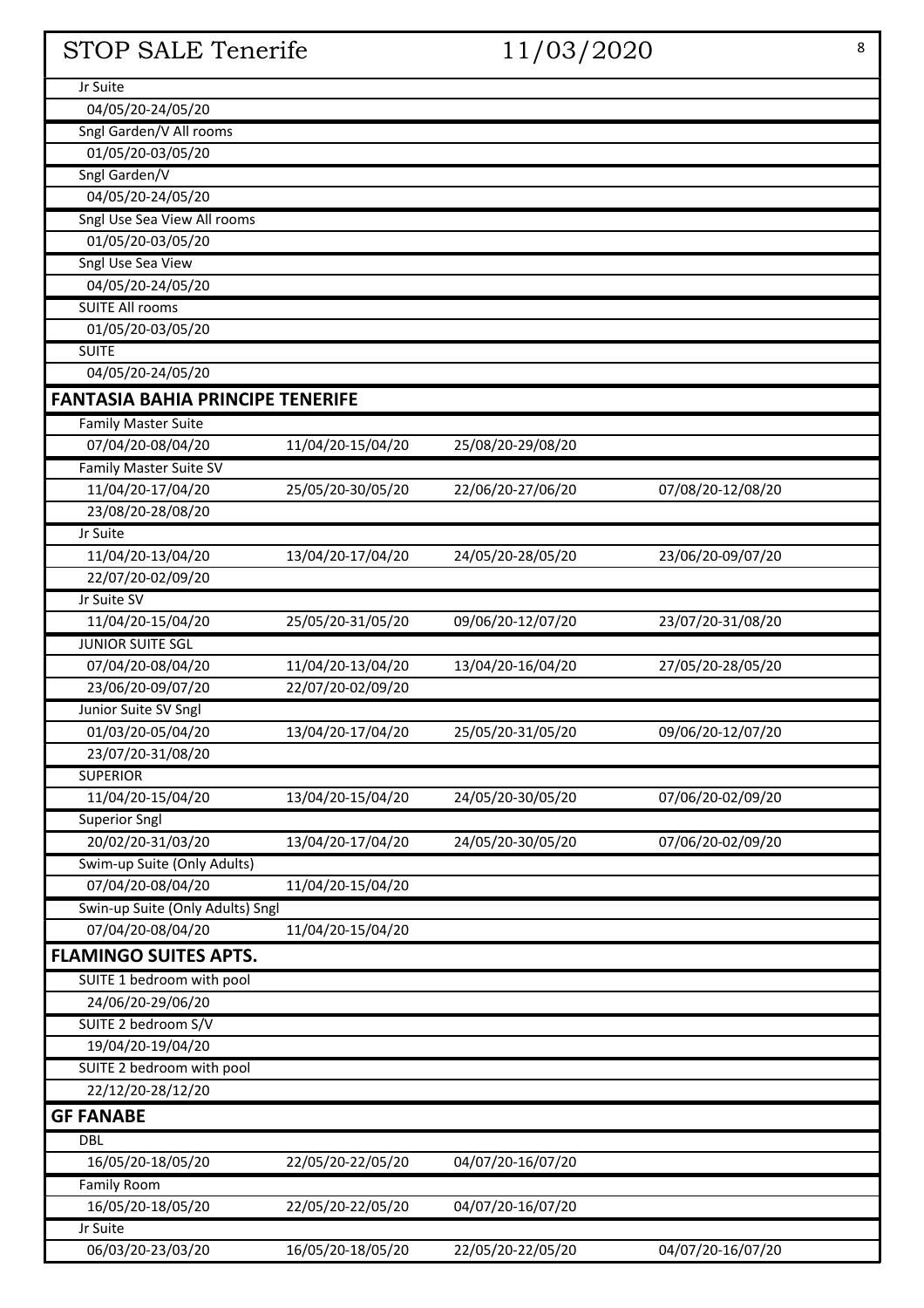| <b>STOP SALE Tenerife</b><br>11/03/2020 |                   | 8                 |                   |
|-----------------------------------------|-------------------|-------------------|-------------------|
| Jr Suite                                |                   |                   |                   |
| 04/05/20-24/05/20                       |                   |                   |                   |
| Sngl Garden/V All rooms                 |                   |                   |                   |
| 01/05/20-03/05/20                       |                   |                   |                   |
| Sngl Garden/V                           |                   |                   |                   |
| 04/05/20-24/05/20                       |                   |                   |                   |
| Sngl Use Sea View All rooms             |                   |                   |                   |
| 01/05/20-03/05/20                       |                   |                   |                   |
| <b>Sngl Use Sea View</b>                |                   |                   |                   |
| 04/05/20-24/05/20                       |                   |                   |                   |
| <b>SUITE All rooms</b>                  |                   |                   |                   |
| 01/05/20-03/05/20                       |                   |                   |                   |
| <b>SUITE</b>                            |                   |                   |                   |
| 04/05/20-24/05/20                       |                   |                   |                   |
| <b>FANTASIA BAHIA PRINCIPE TENERIFE</b> |                   |                   |                   |
| <b>Family Master Suite</b>              |                   |                   |                   |
| 07/04/20-08/04/20                       | 11/04/20-15/04/20 | 25/08/20-29/08/20 |                   |
| Family Master Suite SV                  |                   |                   |                   |
| 11/04/20-17/04/20                       | 25/05/20-30/05/20 | 22/06/20-27/06/20 | 07/08/20-12/08/20 |
| 23/08/20-28/08/20                       |                   |                   |                   |
| Jr Suite                                |                   |                   |                   |
| 11/04/20-13/04/20                       | 13/04/20-17/04/20 | 24/05/20-28/05/20 | 23/06/20-09/07/20 |
| 22/07/20-02/09/20                       |                   |                   |                   |
| Jr Suite SV                             |                   |                   |                   |
| 11/04/20-15/04/20                       | 25/05/20-31/05/20 | 09/06/20-12/07/20 | 23/07/20-31/08/20 |
| <b>JUNIOR SUITE SGL</b>                 |                   |                   |                   |
| 07/04/20-08/04/20                       | 11/04/20-13/04/20 | 13/04/20-16/04/20 | 27/05/20-28/05/20 |
| 23/06/20-09/07/20                       | 22/07/20-02/09/20 |                   |                   |
| Junior Suite SV Sngl                    |                   |                   |                   |
| 01/03/20-05/04/20                       | 13/04/20-17/04/20 | 25/05/20-31/05/20 | 09/06/20-12/07/20 |
| 23/07/20-31/08/20                       |                   |                   |                   |
| <b>SUPERIOR</b>                         |                   |                   |                   |
| 11/04/20-15/04/20                       | 13/04/20-15/04/20 | 24/05/20-30/05/20 | 07/06/20-02/09/20 |
| <b>Superior Sngl</b>                    |                   |                   |                   |
| 20/02/20-31/03/20                       | 13/04/20-17/04/20 | 24/05/20-30/05/20 | 07/06/20-02/09/20 |
| Swim-up Suite (Only Adults)             |                   |                   |                   |
| 07/04/20-08/04/20                       | 11/04/20-15/04/20 |                   |                   |
| Swin-up Suite (Only Adults) Sngl        |                   |                   |                   |
| 07/04/20-08/04/20                       | 11/04/20-15/04/20 |                   |                   |
| <b>FLAMINGO SUITES APTS.</b>            |                   |                   |                   |
| SUITE 1 bedroom with pool               |                   |                   |                   |
| 24/06/20-29/06/20                       |                   |                   |                   |
| SUITE 2 bedroom S/V                     |                   |                   |                   |
| 19/04/20-19/04/20                       |                   |                   |                   |
| SUITE 2 bedroom with pool               |                   |                   |                   |
| 22/12/20-28/12/20                       |                   |                   |                   |
|                                         |                   |                   |                   |
| <b>GF FANABE</b>                        |                   |                   |                   |
| <b>DBL</b>                              |                   |                   |                   |
| 16/05/20-18/05/20                       | 22/05/20-22/05/20 | 04/07/20-16/07/20 |                   |
| Family Room                             |                   |                   |                   |
| 16/05/20-18/05/20                       | 22/05/20-22/05/20 | 04/07/20-16/07/20 |                   |
| Jr Suite                                |                   |                   |                   |
| 06/03/20-23/03/20                       | 16/05/20-18/05/20 | 22/05/20-22/05/20 | 04/07/20-16/07/20 |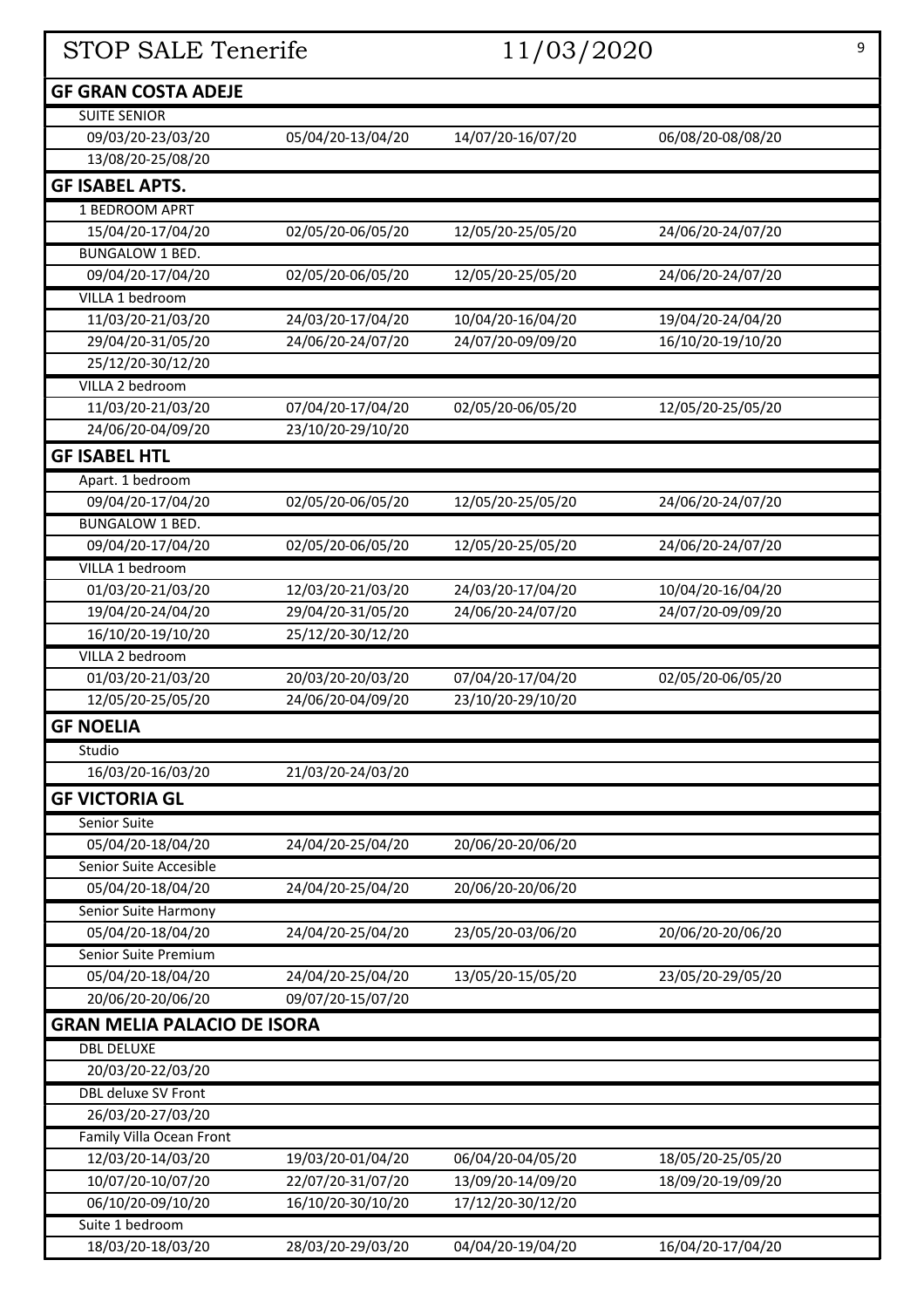| <b>GF GRAN COSTA ADEJE</b><br><b>SUITE SENIOR</b><br>14/07/20-16/07/20<br>06/08/20-08/08/20<br>09/03/20-23/03/20<br>05/04/20-13/04/20<br>13/08/20-25/08/20<br><b>GF ISABEL APTS.</b><br>1 BEDROOM APRT<br>15/04/20-17/04/20<br>02/05/20-06/05/20<br>12/05/20-25/05/20<br>24/06/20-24/07/20<br><b>BUNGALOW 1 BED.</b><br>02/05/20-06/05/20<br>12/05/20-25/05/20<br>24/06/20-24/07/20<br>09/04/20-17/04/20<br>VILLA 1 bedroom<br>11/03/20-21/03/20<br>24/03/20-17/04/20<br>10/04/20-16/04/20<br>19/04/20-24/04/20<br>29/04/20-31/05/20<br>24/06/20-24/07/20<br>24/07/20-09/09/20<br>16/10/20-19/10/20<br>25/12/20-30/12/20<br>VILLA 2 bedroom<br>02/05/20-06/05/20<br>11/03/20-21/03/20<br>07/04/20-17/04/20<br>12/05/20-25/05/20<br>24/06/20-04/09/20<br>23/10/20-29/10/20<br><b>GF ISABEL HTL</b><br>Apart. 1 bedroom<br>09/04/20-17/04/20<br>02/05/20-06/05/20<br>12/05/20-25/05/20<br>24/06/20-24/07/20<br><b>BUNGALOW 1 BED.</b><br>02/05/20-06/05/20<br>12/05/20-25/05/20<br>24/06/20-24/07/20<br>09/04/20-17/04/20<br>VILLA 1 bedroom<br>01/03/20-21/03/20<br>12/03/20-21/03/20<br>24/03/20-17/04/20<br>10/04/20-16/04/20<br>19/04/20-24/04/20<br>29/04/20-31/05/20<br>24/06/20-24/07/20<br>24/07/20-09/09/20<br>16/10/20-19/10/20<br>25/12/20-30/12/20<br>VILLA 2 bedroom<br>20/03/20-20/03/20<br>02/05/20-06/05/20<br>01/03/20-21/03/20<br>07/04/20-17/04/20<br>12/05/20-25/05/20<br>24/06/20-04/09/20<br>23/10/20-29/10/20<br><b>GF NOELIA</b><br>Studio<br>16/03/20-16/03/20<br>21/03/20-24/03/20<br><b>GF VICTORIA GL</b><br>Senior Suite<br>05/04/20-18/04/20<br>24/04/20-25/04/20<br>20/06/20-20/06/20<br>Senior Suite Accesible<br>05/04/20-18/04/20<br>24/04/20-25/04/20<br>20/06/20-20/06/20<br>Senior Suite Harmony<br>24/04/20-25/04/20<br>23/05/20-03/06/20<br>20/06/20-20/06/20<br>05/04/20-18/04/20<br>Senior Suite Premium<br>05/04/20-18/04/20<br>24/04/20-25/04/20<br>23/05/20-29/05/20<br>13/05/20-15/05/20<br>20/06/20-20/06/20<br>09/07/20-15/07/20<br><b>GRAN MELIA PALACIO DE ISORA</b><br><b>DBL DELUXE</b><br>20/03/20-22/03/20<br>DBL deluxe SV Front<br>26/03/20-27/03/20<br>Family Villa Ocean Front<br>12/03/20-14/03/20<br>19/03/20-01/04/20<br>06/04/20-04/05/20<br>18/05/20-25/05/20<br>10/07/20-10/07/20<br>22/07/20-31/07/20<br>13/09/20-14/09/20<br>18/09/20-19/09/20<br>06/10/20-09/10/20<br>16/10/20-30/10/20<br>17/12/20-30/12/20<br>Suite 1 bedroom<br>28/03/20-29/03/20<br>04/04/20-19/04/20<br>16/04/20-17/04/20<br>18/03/20-18/03/20 | STOP SALE Tenerife<br>11/03/2020 |  | 9 |  |
|-------------------------------------------------------------------------------------------------------------------------------------------------------------------------------------------------------------------------------------------------------------------------------------------------------------------------------------------------------------------------------------------------------------------------------------------------------------------------------------------------------------------------------------------------------------------------------------------------------------------------------------------------------------------------------------------------------------------------------------------------------------------------------------------------------------------------------------------------------------------------------------------------------------------------------------------------------------------------------------------------------------------------------------------------------------------------------------------------------------------------------------------------------------------------------------------------------------------------------------------------------------------------------------------------------------------------------------------------------------------------------------------------------------------------------------------------------------------------------------------------------------------------------------------------------------------------------------------------------------------------------------------------------------------------------------------------------------------------------------------------------------------------------------------------------------------------------------------------------------------------------------------------------------------------------------------------------------------------------------------------------------------------------------------------------------------------------------------------------------------------------------------------------------------------------------------------------------------------------------------------------------------------------------------------------------------------------------------------------------------------------------------------------------------------------------------------------------------------------------|----------------------------------|--|---|--|
|                                                                                                                                                                                                                                                                                                                                                                                                                                                                                                                                                                                                                                                                                                                                                                                                                                                                                                                                                                                                                                                                                                                                                                                                                                                                                                                                                                                                                                                                                                                                                                                                                                                                                                                                                                                                                                                                                                                                                                                                                                                                                                                                                                                                                                                                                                                                                                                                                                                                                     |                                  |  |   |  |
|                                                                                                                                                                                                                                                                                                                                                                                                                                                                                                                                                                                                                                                                                                                                                                                                                                                                                                                                                                                                                                                                                                                                                                                                                                                                                                                                                                                                                                                                                                                                                                                                                                                                                                                                                                                                                                                                                                                                                                                                                                                                                                                                                                                                                                                                                                                                                                                                                                                                                     |                                  |  |   |  |
|                                                                                                                                                                                                                                                                                                                                                                                                                                                                                                                                                                                                                                                                                                                                                                                                                                                                                                                                                                                                                                                                                                                                                                                                                                                                                                                                                                                                                                                                                                                                                                                                                                                                                                                                                                                                                                                                                                                                                                                                                                                                                                                                                                                                                                                                                                                                                                                                                                                                                     |                                  |  |   |  |
|                                                                                                                                                                                                                                                                                                                                                                                                                                                                                                                                                                                                                                                                                                                                                                                                                                                                                                                                                                                                                                                                                                                                                                                                                                                                                                                                                                                                                                                                                                                                                                                                                                                                                                                                                                                                                                                                                                                                                                                                                                                                                                                                                                                                                                                                                                                                                                                                                                                                                     |                                  |  |   |  |
|                                                                                                                                                                                                                                                                                                                                                                                                                                                                                                                                                                                                                                                                                                                                                                                                                                                                                                                                                                                                                                                                                                                                                                                                                                                                                                                                                                                                                                                                                                                                                                                                                                                                                                                                                                                                                                                                                                                                                                                                                                                                                                                                                                                                                                                                                                                                                                                                                                                                                     |                                  |  |   |  |
|                                                                                                                                                                                                                                                                                                                                                                                                                                                                                                                                                                                                                                                                                                                                                                                                                                                                                                                                                                                                                                                                                                                                                                                                                                                                                                                                                                                                                                                                                                                                                                                                                                                                                                                                                                                                                                                                                                                                                                                                                                                                                                                                                                                                                                                                                                                                                                                                                                                                                     |                                  |  |   |  |
|                                                                                                                                                                                                                                                                                                                                                                                                                                                                                                                                                                                                                                                                                                                                                                                                                                                                                                                                                                                                                                                                                                                                                                                                                                                                                                                                                                                                                                                                                                                                                                                                                                                                                                                                                                                                                                                                                                                                                                                                                                                                                                                                                                                                                                                                                                                                                                                                                                                                                     |                                  |  |   |  |
|                                                                                                                                                                                                                                                                                                                                                                                                                                                                                                                                                                                                                                                                                                                                                                                                                                                                                                                                                                                                                                                                                                                                                                                                                                                                                                                                                                                                                                                                                                                                                                                                                                                                                                                                                                                                                                                                                                                                                                                                                                                                                                                                                                                                                                                                                                                                                                                                                                                                                     |                                  |  |   |  |
|                                                                                                                                                                                                                                                                                                                                                                                                                                                                                                                                                                                                                                                                                                                                                                                                                                                                                                                                                                                                                                                                                                                                                                                                                                                                                                                                                                                                                                                                                                                                                                                                                                                                                                                                                                                                                                                                                                                                                                                                                                                                                                                                                                                                                                                                                                                                                                                                                                                                                     |                                  |  |   |  |
|                                                                                                                                                                                                                                                                                                                                                                                                                                                                                                                                                                                                                                                                                                                                                                                                                                                                                                                                                                                                                                                                                                                                                                                                                                                                                                                                                                                                                                                                                                                                                                                                                                                                                                                                                                                                                                                                                                                                                                                                                                                                                                                                                                                                                                                                                                                                                                                                                                                                                     |                                  |  |   |  |
|                                                                                                                                                                                                                                                                                                                                                                                                                                                                                                                                                                                                                                                                                                                                                                                                                                                                                                                                                                                                                                                                                                                                                                                                                                                                                                                                                                                                                                                                                                                                                                                                                                                                                                                                                                                                                                                                                                                                                                                                                                                                                                                                                                                                                                                                                                                                                                                                                                                                                     |                                  |  |   |  |
|                                                                                                                                                                                                                                                                                                                                                                                                                                                                                                                                                                                                                                                                                                                                                                                                                                                                                                                                                                                                                                                                                                                                                                                                                                                                                                                                                                                                                                                                                                                                                                                                                                                                                                                                                                                                                                                                                                                                                                                                                                                                                                                                                                                                                                                                                                                                                                                                                                                                                     |                                  |  |   |  |
|                                                                                                                                                                                                                                                                                                                                                                                                                                                                                                                                                                                                                                                                                                                                                                                                                                                                                                                                                                                                                                                                                                                                                                                                                                                                                                                                                                                                                                                                                                                                                                                                                                                                                                                                                                                                                                                                                                                                                                                                                                                                                                                                                                                                                                                                                                                                                                                                                                                                                     |                                  |  |   |  |
|                                                                                                                                                                                                                                                                                                                                                                                                                                                                                                                                                                                                                                                                                                                                                                                                                                                                                                                                                                                                                                                                                                                                                                                                                                                                                                                                                                                                                                                                                                                                                                                                                                                                                                                                                                                                                                                                                                                                                                                                                                                                                                                                                                                                                                                                                                                                                                                                                                                                                     |                                  |  |   |  |
|                                                                                                                                                                                                                                                                                                                                                                                                                                                                                                                                                                                                                                                                                                                                                                                                                                                                                                                                                                                                                                                                                                                                                                                                                                                                                                                                                                                                                                                                                                                                                                                                                                                                                                                                                                                                                                                                                                                                                                                                                                                                                                                                                                                                                                                                                                                                                                                                                                                                                     |                                  |  |   |  |
|                                                                                                                                                                                                                                                                                                                                                                                                                                                                                                                                                                                                                                                                                                                                                                                                                                                                                                                                                                                                                                                                                                                                                                                                                                                                                                                                                                                                                                                                                                                                                                                                                                                                                                                                                                                                                                                                                                                                                                                                                                                                                                                                                                                                                                                                                                                                                                                                                                                                                     |                                  |  |   |  |
|                                                                                                                                                                                                                                                                                                                                                                                                                                                                                                                                                                                                                                                                                                                                                                                                                                                                                                                                                                                                                                                                                                                                                                                                                                                                                                                                                                                                                                                                                                                                                                                                                                                                                                                                                                                                                                                                                                                                                                                                                                                                                                                                                                                                                                                                                                                                                                                                                                                                                     |                                  |  |   |  |
|                                                                                                                                                                                                                                                                                                                                                                                                                                                                                                                                                                                                                                                                                                                                                                                                                                                                                                                                                                                                                                                                                                                                                                                                                                                                                                                                                                                                                                                                                                                                                                                                                                                                                                                                                                                                                                                                                                                                                                                                                                                                                                                                                                                                                                                                                                                                                                                                                                                                                     |                                  |  |   |  |
|                                                                                                                                                                                                                                                                                                                                                                                                                                                                                                                                                                                                                                                                                                                                                                                                                                                                                                                                                                                                                                                                                                                                                                                                                                                                                                                                                                                                                                                                                                                                                                                                                                                                                                                                                                                                                                                                                                                                                                                                                                                                                                                                                                                                                                                                                                                                                                                                                                                                                     |                                  |  |   |  |
|                                                                                                                                                                                                                                                                                                                                                                                                                                                                                                                                                                                                                                                                                                                                                                                                                                                                                                                                                                                                                                                                                                                                                                                                                                                                                                                                                                                                                                                                                                                                                                                                                                                                                                                                                                                                                                                                                                                                                                                                                                                                                                                                                                                                                                                                                                                                                                                                                                                                                     |                                  |  |   |  |
|                                                                                                                                                                                                                                                                                                                                                                                                                                                                                                                                                                                                                                                                                                                                                                                                                                                                                                                                                                                                                                                                                                                                                                                                                                                                                                                                                                                                                                                                                                                                                                                                                                                                                                                                                                                                                                                                                                                                                                                                                                                                                                                                                                                                                                                                                                                                                                                                                                                                                     |                                  |  |   |  |
|                                                                                                                                                                                                                                                                                                                                                                                                                                                                                                                                                                                                                                                                                                                                                                                                                                                                                                                                                                                                                                                                                                                                                                                                                                                                                                                                                                                                                                                                                                                                                                                                                                                                                                                                                                                                                                                                                                                                                                                                                                                                                                                                                                                                                                                                                                                                                                                                                                                                                     |                                  |  |   |  |
|                                                                                                                                                                                                                                                                                                                                                                                                                                                                                                                                                                                                                                                                                                                                                                                                                                                                                                                                                                                                                                                                                                                                                                                                                                                                                                                                                                                                                                                                                                                                                                                                                                                                                                                                                                                                                                                                                                                                                                                                                                                                                                                                                                                                                                                                                                                                                                                                                                                                                     |                                  |  |   |  |
|                                                                                                                                                                                                                                                                                                                                                                                                                                                                                                                                                                                                                                                                                                                                                                                                                                                                                                                                                                                                                                                                                                                                                                                                                                                                                                                                                                                                                                                                                                                                                                                                                                                                                                                                                                                                                                                                                                                                                                                                                                                                                                                                                                                                                                                                                                                                                                                                                                                                                     |                                  |  |   |  |
|                                                                                                                                                                                                                                                                                                                                                                                                                                                                                                                                                                                                                                                                                                                                                                                                                                                                                                                                                                                                                                                                                                                                                                                                                                                                                                                                                                                                                                                                                                                                                                                                                                                                                                                                                                                                                                                                                                                                                                                                                                                                                                                                                                                                                                                                                                                                                                                                                                                                                     |                                  |  |   |  |
|                                                                                                                                                                                                                                                                                                                                                                                                                                                                                                                                                                                                                                                                                                                                                                                                                                                                                                                                                                                                                                                                                                                                                                                                                                                                                                                                                                                                                                                                                                                                                                                                                                                                                                                                                                                                                                                                                                                                                                                                                                                                                                                                                                                                                                                                                                                                                                                                                                                                                     |                                  |  |   |  |
|                                                                                                                                                                                                                                                                                                                                                                                                                                                                                                                                                                                                                                                                                                                                                                                                                                                                                                                                                                                                                                                                                                                                                                                                                                                                                                                                                                                                                                                                                                                                                                                                                                                                                                                                                                                                                                                                                                                                                                                                                                                                                                                                                                                                                                                                                                                                                                                                                                                                                     |                                  |  |   |  |
|                                                                                                                                                                                                                                                                                                                                                                                                                                                                                                                                                                                                                                                                                                                                                                                                                                                                                                                                                                                                                                                                                                                                                                                                                                                                                                                                                                                                                                                                                                                                                                                                                                                                                                                                                                                                                                                                                                                                                                                                                                                                                                                                                                                                                                                                                                                                                                                                                                                                                     |                                  |  |   |  |
|                                                                                                                                                                                                                                                                                                                                                                                                                                                                                                                                                                                                                                                                                                                                                                                                                                                                                                                                                                                                                                                                                                                                                                                                                                                                                                                                                                                                                                                                                                                                                                                                                                                                                                                                                                                                                                                                                                                                                                                                                                                                                                                                                                                                                                                                                                                                                                                                                                                                                     |                                  |  |   |  |
|                                                                                                                                                                                                                                                                                                                                                                                                                                                                                                                                                                                                                                                                                                                                                                                                                                                                                                                                                                                                                                                                                                                                                                                                                                                                                                                                                                                                                                                                                                                                                                                                                                                                                                                                                                                                                                                                                                                                                                                                                                                                                                                                                                                                                                                                                                                                                                                                                                                                                     |                                  |  |   |  |
|                                                                                                                                                                                                                                                                                                                                                                                                                                                                                                                                                                                                                                                                                                                                                                                                                                                                                                                                                                                                                                                                                                                                                                                                                                                                                                                                                                                                                                                                                                                                                                                                                                                                                                                                                                                                                                                                                                                                                                                                                                                                                                                                                                                                                                                                                                                                                                                                                                                                                     |                                  |  |   |  |
|                                                                                                                                                                                                                                                                                                                                                                                                                                                                                                                                                                                                                                                                                                                                                                                                                                                                                                                                                                                                                                                                                                                                                                                                                                                                                                                                                                                                                                                                                                                                                                                                                                                                                                                                                                                                                                                                                                                                                                                                                                                                                                                                                                                                                                                                                                                                                                                                                                                                                     |                                  |  |   |  |
|                                                                                                                                                                                                                                                                                                                                                                                                                                                                                                                                                                                                                                                                                                                                                                                                                                                                                                                                                                                                                                                                                                                                                                                                                                                                                                                                                                                                                                                                                                                                                                                                                                                                                                                                                                                                                                                                                                                                                                                                                                                                                                                                                                                                                                                                                                                                                                                                                                                                                     |                                  |  |   |  |
|                                                                                                                                                                                                                                                                                                                                                                                                                                                                                                                                                                                                                                                                                                                                                                                                                                                                                                                                                                                                                                                                                                                                                                                                                                                                                                                                                                                                                                                                                                                                                                                                                                                                                                                                                                                                                                                                                                                                                                                                                                                                                                                                                                                                                                                                                                                                                                                                                                                                                     |                                  |  |   |  |
|                                                                                                                                                                                                                                                                                                                                                                                                                                                                                                                                                                                                                                                                                                                                                                                                                                                                                                                                                                                                                                                                                                                                                                                                                                                                                                                                                                                                                                                                                                                                                                                                                                                                                                                                                                                                                                                                                                                                                                                                                                                                                                                                                                                                                                                                                                                                                                                                                                                                                     |                                  |  |   |  |
|                                                                                                                                                                                                                                                                                                                                                                                                                                                                                                                                                                                                                                                                                                                                                                                                                                                                                                                                                                                                                                                                                                                                                                                                                                                                                                                                                                                                                                                                                                                                                                                                                                                                                                                                                                                                                                                                                                                                                                                                                                                                                                                                                                                                                                                                                                                                                                                                                                                                                     |                                  |  |   |  |
|                                                                                                                                                                                                                                                                                                                                                                                                                                                                                                                                                                                                                                                                                                                                                                                                                                                                                                                                                                                                                                                                                                                                                                                                                                                                                                                                                                                                                                                                                                                                                                                                                                                                                                                                                                                                                                                                                                                                                                                                                                                                                                                                                                                                                                                                                                                                                                                                                                                                                     |                                  |  |   |  |
|                                                                                                                                                                                                                                                                                                                                                                                                                                                                                                                                                                                                                                                                                                                                                                                                                                                                                                                                                                                                                                                                                                                                                                                                                                                                                                                                                                                                                                                                                                                                                                                                                                                                                                                                                                                                                                                                                                                                                                                                                                                                                                                                                                                                                                                                                                                                                                                                                                                                                     |                                  |  |   |  |
|                                                                                                                                                                                                                                                                                                                                                                                                                                                                                                                                                                                                                                                                                                                                                                                                                                                                                                                                                                                                                                                                                                                                                                                                                                                                                                                                                                                                                                                                                                                                                                                                                                                                                                                                                                                                                                                                                                                                                                                                                                                                                                                                                                                                                                                                                                                                                                                                                                                                                     |                                  |  |   |  |
|                                                                                                                                                                                                                                                                                                                                                                                                                                                                                                                                                                                                                                                                                                                                                                                                                                                                                                                                                                                                                                                                                                                                                                                                                                                                                                                                                                                                                                                                                                                                                                                                                                                                                                                                                                                                                                                                                                                                                                                                                                                                                                                                                                                                                                                                                                                                                                                                                                                                                     |                                  |  |   |  |
|                                                                                                                                                                                                                                                                                                                                                                                                                                                                                                                                                                                                                                                                                                                                                                                                                                                                                                                                                                                                                                                                                                                                                                                                                                                                                                                                                                                                                                                                                                                                                                                                                                                                                                                                                                                                                                                                                                                                                                                                                                                                                                                                                                                                                                                                                                                                                                                                                                                                                     |                                  |  |   |  |
|                                                                                                                                                                                                                                                                                                                                                                                                                                                                                                                                                                                                                                                                                                                                                                                                                                                                                                                                                                                                                                                                                                                                                                                                                                                                                                                                                                                                                                                                                                                                                                                                                                                                                                                                                                                                                                                                                                                                                                                                                                                                                                                                                                                                                                                                                                                                                                                                                                                                                     |                                  |  |   |  |
|                                                                                                                                                                                                                                                                                                                                                                                                                                                                                                                                                                                                                                                                                                                                                                                                                                                                                                                                                                                                                                                                                                                                                                                                                                                                                                                                                                                                                                                                                                                                                                                                                                                                                                                                                                                                                                                                                                                                                                                                                                                                                                                                                                                                                                                                                                                                                                                                                                                                                     |                                  |  |   |  |
|                                                                                                                                                                                                                                                                                                                                                                                                                                                                                                                                                                                                                                                                                                                                                                                                                                                                                                                                                                                                                                                                                                                                                                                                                                                                                                                                                                                                                                                                                                                                                                                                                                                                                                                                                                                                                                                                                                                                                                                                                                                                                                                                                                                                                                                                                                                                                                                                                                                                                     |                                  |  |   |  |
|                                                                                                                                                                                                                                                                                                                                                                                                                                                                                                                                                                                                                                                                                                                                                                                                                                                                                                                                                                                                                                                                                                                                                                                                                                                                                                                                                                                                                                                                                                                                                                                                                                                                                                                                                                                                                                                                                                                                                                                                                                                                                                                                                                                                                                                                                                                                                                                                                                                                                     |                                  |  |   |  |
|                                                                                                                                                                                                                                                                                                                                                                                                                                                                                                                                                                                                                                                                                                                                                                                                                                                                                                                                                                                                                                                                                                                                                                                                                                                                                                                                                                                                                                                                                                                                                                                                                                                                                                                                                                                                                                                                                                                                                                                                                                                                                                                                                                                                                                                                                                                                                                                                                                                                                     |                                  |  |   |  |
|                                                                                                                                                                                                                                                                                                                                                                                                                                                                                                                                                                                                                                                                                                                                                                                                                                                                                                                                                                                                                                                                                                                                                                                                                                                                                                                                                                                                                                                                                                                                                                                                                                                                                                                                                                                                                                                                                                                                                                                                                                                                                                                                                                                                                                                                                                                                                                                                                                                                                     |                                  |  |   |  |
|                                                                                                                                                                                                                                                                                                                                                                                                                                                                                                                                                                                                                                                                                                                                                                                                                                                                                                                                                                                                                                                                                                                                                                                                                                                                                                                                                                                                                                                                                                                                                                                                                                                                                                                                                                                                                                                                                                                                                                                                                                                                                                                                                                                                                                                                                                                                                                                                                                                                                     |                                  |  |   |  |
|                                                                                                                                                                                                                                                                                                                                                                                                                                                                                                                                                                                                                                                                                                                                                                                                                                                                                                                                                                                                                                                                                                                                                                                                                                                                                                                                                                                                                                                                                                                                                                                                                                                                                                                                                                                                                                                                                                                                                                                                                                                                                                                                                                                                                                                                                                                                                                                                                                                                                     |                                  |  |   |  |
|                                                                                                                                                                                                                                                                                                                                                                                                                                                                                                                                                                                                                                                                                                                                                                                                                                                                                                                                                                                                                                                                                                                                                                                                                                                                                                                                                                                                                                                                                                                                                                                                                                                                                                                                                                                                                                                                                                                                                                                                                                                                                                                                                                                                                                                                                                                                                                                                                                                                                     |                                  |  |   |  |
|                                                                                                                                                                                                                                                                                                                                                                                                                                                                                                                                                                                                                                                                                                                                                                                                                                                                                                                                                                                                                                                                                                                                                                                                                                                                                                                                                                                                                                                                                                                                                                                                                                                                                                                                                                                                                                                                                                                                                                                                                                                                                                                                                                                                                                                                                                                                                                                                                                                                                     |                                  |  |   |  |
|                                                                                                                                                                                                                                                                                                                                                                                                                                                                                                                                                                                                                                                                                                                                                                                                                                                                                                                                                                                                                                                                                                                                                                                                                                                                                                                                                                                                                                                                                                                                                                                                                                                                                                                                                                                                                                                                                                                                                                                                                                                                                                                                                                                                                                                                                                                                                                                                                                                                                     |                                  |  |   |  |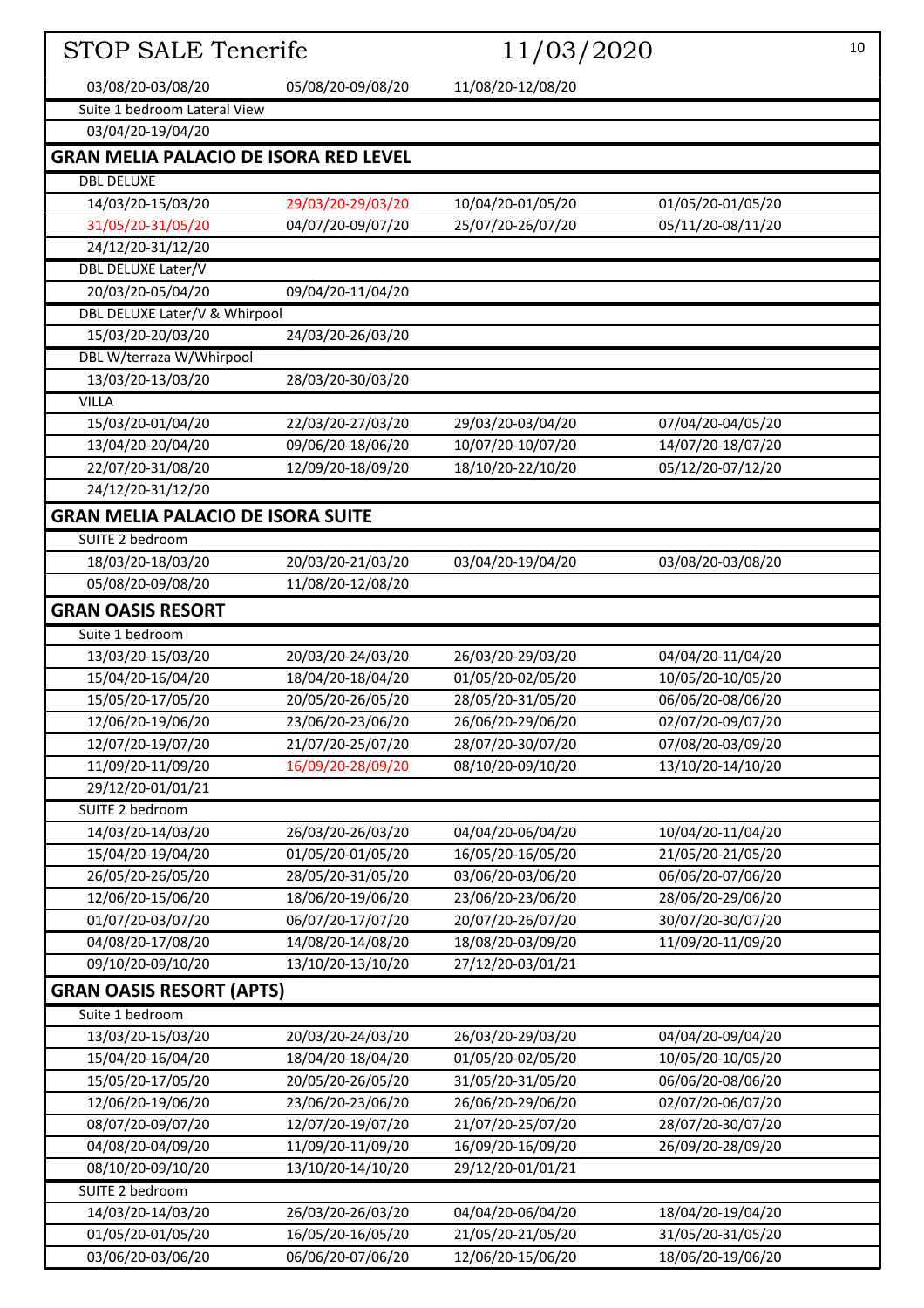| <b>STOP SALE Tenerife</b>                    |                   | 11/03/2020        |                   | 10 |
|----------------------------------------------|-------------------|-------------------|-------------------|----|
| 03/08/20-03/08/20                            | 05/08/20-09/08/20 | 11/08/20-12/08/20 |                   |    |
| Suite 1 bedroom Lateral View                 |                   |                   |                   |    |
| 03/04/20-19/04/20                            |                   |                   |                   |    |
| <b>GRAN MELIA PALACIO DE ISORA RED LEVEL</b> |                   |                   |                   |    |
| <b>DBL DELUXE</b>                            |                   |                   |                   |    |
| 14/03/20-15/03/20                            | 29/03/20-29/03/20 | 10/04/20-01/05/20 | 01/05/20-01/05/20 |    |
| 31/05/20-31/05/20                            | 04/07/20-09/07/20 | 25/07/20-26/07/20 | 05/11/20-08/11/20 |    |
| 24/12/20-31/12/20                            |                   |                   |                   |    |
| DBL DELUXE Later/V                           |                   |                   |                   |    |
| 20/03/20-05/04/20                            | 09/04/20-11/04/20 |                   |                   |    |
| DBL DELUXE Later/V & Whirpool                |                   |                   |                   |    |
| 15/03/20-20/03/20                            | 24/03/20-26/03/20 |                   |                   |    |
| DBL W/terraza W/Whirpool                     |                   |                   |                   |    |
| 13/03/20-13/03/20                            | 28/03/20-30/03/20 |                   |                   |    |
| <b>VILLA</b>                                 |                   |                   |                   |    |
| 15/03/20-01/04/20                            | 22/03/20-27/03/20 | 29/03/20-03/04/20 | 07/04/20-04/05/20 |    |
| 13/04/20-20/04/20                            | 09/06/20-18/06/20 | 10/07/20-10/07/20 | 14/07/20-18/07/20 |    |
| 22/07/20-31/08/20                            | 12/09/20-18/09/20 | 18/10/20-22/10/20 | 05/12/20-07/12/20 |    |
| 24/12/20-31/12/20                            |                   |                   |                   |    |
| <b>GRAN MELIA PALACIO DE ISORA SUITE</b>     |                   |                   |                   |    |
| SUITE 2 bedroom                              |                   |                   |                   |    |
| 18/03/20-18/03/20                            | 20/03/20-21/03/20 | 03/04/20-19/04/20 | 03/08/20-03/08/20 |    |
| 05/08/20-09/08/20                            | 11/08/20-12/08/20 |                   |                   |    |
| <b>GRAN OASIS RESORT</b>                     |                   |                   |                   |    |
| Suite 1 bedroom                              |                   |                   |                   |    |
| 13/03/20-15/03/20                            | 20/03/20-24/03/20 | 26/03/20-29/03/20 | 04/04/20-11/04/20 |    |
| 15/04/20-16/04/20                            | 18/04/20-18/04/20 | 01/05/20-02/05/20 | 10/05/20-10/05/20 |    |
| 15/05/20-17/05/20                            | 20/05/20-26/05/20 | 28/05/20-31/05/20 | 06/06/20-08/06/20 |    |
| 12/06/20-19/06/20                            | 23/06/20-23/06/20 | 26/06/20-29/06/20 | 02/07/20-09/07/20 |    |
| 12/07/20-19/07/20                            | 21/07/20-25/07/20 | 28/07/20-30/07/20 | 07/08/20-03/09/20 |    |
| 11/09/20-11/09/20                            | 16/09/20-28/09/20 | 08/10/20-09/10/20 | 13/10/20-14/10/20 |    |
| 29/12/20-01/01/21                            |                   |                   |                   |    |
| SUITE 2 bedroom                              |                   |                   |                   |    |
| 14/03/20-14/03/20                            | 26/03/20-26/03/20 | 04/04/20-06/04/20 | 10/04/20-11/04/20 |    |
| 15/04/20-19/04/20                            | 01/05/20-01/05/20 | 16/05/20-16/05/20 | 21/05/20-21/05/20 |    |
| 26/05/20-26/05/20                            | 28/05/20-31/05/20 | 03/06/20-03/06/20 | 06/06/20-07/06/20 |    |
| 12/06/20-15/06/20                            | 18/06/20-19/06/20 | 23/06/20-23/06/20 | 28/06/20-29/06/20 |    |
| 01/07/20-03/07/20                            | 06/07/20-17/07/20 | 20/07/20-26/07/20 | 30/07/20-30/07/20 |    |
| 04/08/20-17/08/20                            | 14/08/20-14/08/20 | 18/08/20-03/09/20 | 11/09/20-11/09/20 |    |
| 09/10/20-09/10/20                            | 13/10/20-13/10/20 | 27/12/20-03/01/21 |                   |    |
| <b>GRAN OASIS RESORT (APTS)</b>              |                   |                   |                   |    |
| Suite 1 bedroom                              |                   |                   |                   |    |
| 13/03/20-15/03/20                            | 20/03/20-24/03/20 | 26/03/20-29/03/20 | 04/04/20-09/04/20 |    |
| 15/04/20-16/04/20                            | 18/04/20-18/04/20 | 01/05/20-02/05/20 | 10/05/20-10/05/20 |    |
| 15/05/20-17/05/20                            | 20/05/20-26/05/20 | 31/05/20-31/05/20 | 06/06/20-08/06/20 |    |
| 12/06/20-19/06/20                            | 23/06/20-23/06/20 | 26/06/20-29/06/20 | 02/07/20-06/07/20 |    |
| 08/07/20-09/07/20                            | 12/07/20-19/07/20 | 21/07/20-25/07/20 | 28/07/20-30/07/20 |    |
| 04/08/20-04/09/20                            | 11/09/20-11/09/20 | 16/09/20-16/09/20 | 26/09/20-28/09/20 |    |
| 08/10/20-09/10/20                            | 13/10/20-14/10/20 | 29/12/20-01/01/21 |                   |    |
| SUITE 2 bedroom                              |                   |                   |                   |    |
| 14/03/20-14/03/20                            | 26/03/20-26/03/20 | 04/04/20-06/04/20 | 18/04/20-19/04/20 |    |
| 01/05/20-01/05/20                            | 16/05/20-16/05/20 | 21/05/20-21/05/20 | 31/05/20-31/05/20 |    |
| 03/06/20-03/06/20                            | 06/06/20-07/06/20 | 12/06/20-15/06/20 | 18/06/20-19/06/20 |    |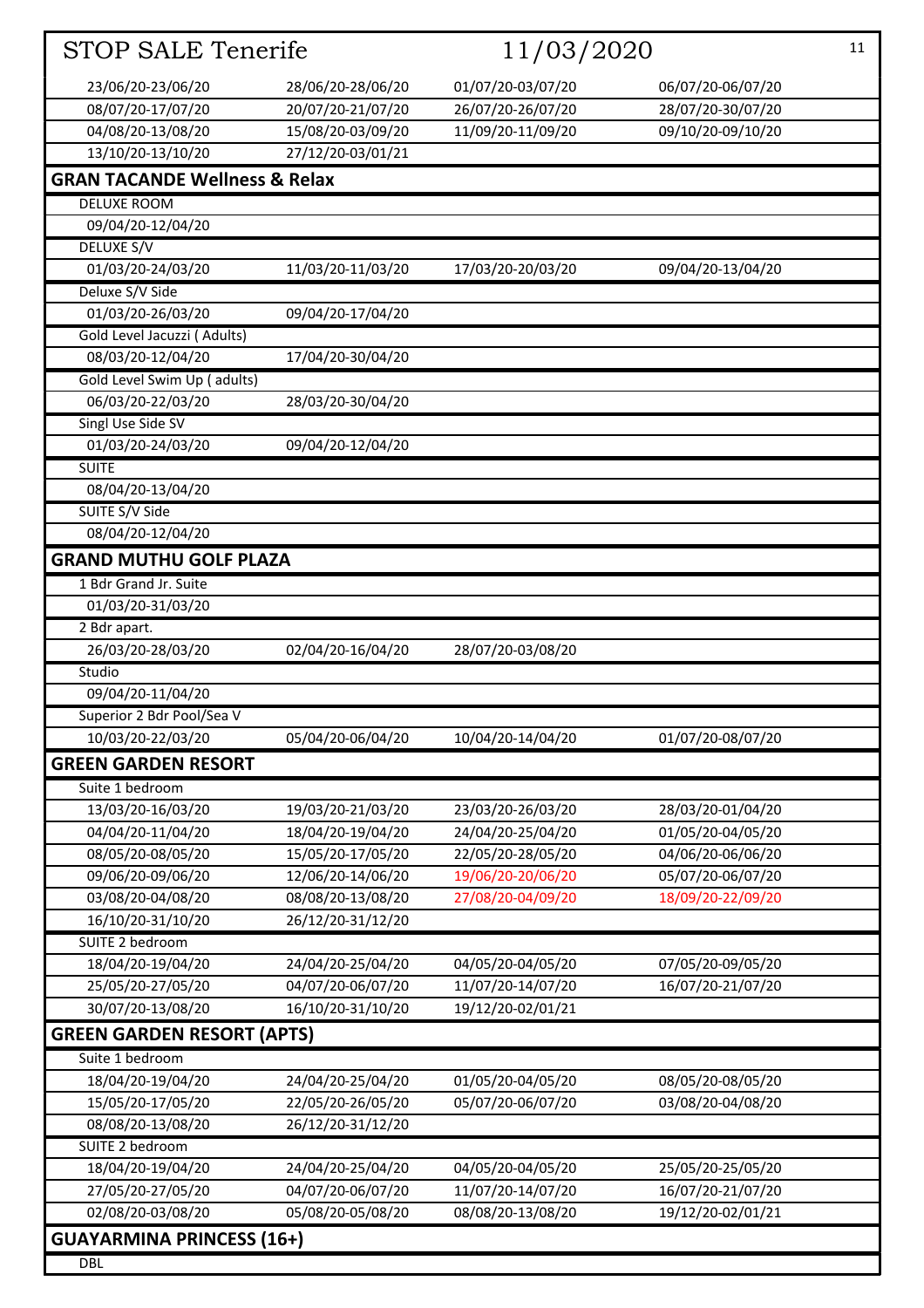| STOP SALE Tenerife                       |                                        | 11/03/2020                             |                                        | 11 |
|------------------------------------------|----------------------------------------|----------------------------------------|----------------------------------------|----|
| 23/06/20-23/06/20                        | 28/06/20-28/06/20                      | 01/07/20-03/07/20                      | 06/07/20-06/07/20                      |    |
| 08/07/20-17/07/20                        | 20/07/20-21/07/20                      | 26/07/20-26/07/20                      | 28/07/20-30/07/20                      |    |
| 04/08/20-13/08/20                        | 15/08/20-03/09/20                      | 11/09/20-11/09/20                      | 09/10/20-09/10/20                      |    |
| 13/10/20-13/10/20                        | 27/12/20-03/01/21                      |                                        |                                        |    |
| <b>GRAN TACANDE Wellness &amp; Relax</b> |                                        |                                        |                                        |    |
| <b>DELUXE ROOM</b>                       |                                        |                                        |                                        |    |
| 09/04/20-12/04/20                        |                                        |                                        |                                        |    |
| DELUXE S/V                               |                                        |                                        |                                        |    |
| 01/03/20-24/03/20                        | 11/03/20-11/03/20                      | 17/03/20-20/03/20                      | 09/04/20-13/04/20                      |    |
| Deluxe S/V Side                          |                                        |                                        |                                        |    |
| 01/03/20-26/03/20                        | 09/04/20-17/04/20                      |                                        |                                        |    |
| Gold Level Jacuzzi (Adults)              |                                        |                                        |                                        |    |
| 08/03/20-12/04/20                        | 17/04/20-30/04/20                      |                                        |                                        |    |
| Gold Level Swim Up (adults)              |                                        |                                        |                                        |    |
| 06/03/20-22/03/20                        | 28/03/20-30/04/20                      |                                        |                                        |    |
| <b>Singl Use Side SV</b>                 |                                        |                                        |                                        |    |
| 01/03/20-24/03/20                        | 09/04/20-12/04/20                      |                                        |                                        |    |
| <b>SUITE</b>                             |                                        |                                        |                                        |    |
| 08/04/20-13/04/20                        |                                        |                                        |                                        |    |
| SUITE S/V Side                           |                                        |                                        |                                        |    |
| 08/04/20-12/04/20                        |                                        |                                        |                                        |    |
| <b>GRAND MUTHU GOLF PLAZA</b>            |                                        |                                        |                                        |    |
| 1 Bdr Grand Jr. Suite                    |                                        |                                        |                                        |    |
| 01/03/20-31/03/20                        |                                        |                                        |                                        |    |
| 2 Bdr apart.                             |                                        |                                        |                                        |    |
| 26/03/20-28/03/20                        | 02/04/20-16/04/20                      | 28/07/20-03/08/20                      |                                        |    |
| Studio                                   |                                        |                                        |                                        |    |
| 09/04/20-11/04/20                        |                                        |                                        |                                        |    |
| Superior 2 Bdr Pool/Sea V                |                                        |                                        |                                        |    |
| 10/03/20-22/03/20                        | 05/04/20-06/04/20                      | 10/04/20-14/04/20                      | 01/07/20-08/07/20                      |    |
| <b>GREEN GARDEN RESORT</b>               |                                        |                                        |                                        |    |
| Suite 1 bedroom                          |                                        |                                        |                                        |    |
| 13/03/20-16/03/20                        | 19/03/20-21/03/20                      | 23/03/20-26/03/20                      | 28/03/20-01/04/20                      |    |
| 04/04/20-11/04/20                        | 18/04/20-19/04/20                      | 24/04/20-25/04/20                      | 01/05/20-04/05/20                      |    |
| 08/05/20-08/05/20                        | 15/05/20-17/05/20<br>12/06/20-14/06/20 | 22/05/20-28/05/20                      | 04/06/20-06/06/20<br>05/07/20-06/07/20 |    |
| 09/06/20-09/06/20<br>03/08/20-04/08/20   | 08/08/20-13/08/20                      | 19/06/20-20/06/20<br>27/08/20-04/09/20 | 18/09/20-22/09/20                      |    |
| 16/10/20-31/10/20                        | 26/12/20-31/12/20                      |                                        |                                        |    |
| SUITE 2 bedroom                          |                                        |                                        |                                        |    |
| 18/04/20-19/04/20                        | 24/04/20-25/04/20                      | 04/05/20-04/05/20                      | 07/05/20-09/05/20                      |    |
| 25/05/20-27/05/20                        | 04/07/20-06/07/20                      | 11/07/20-14/07/20                      | 16/07/20-21/07/20                      |    |
| 30/07/20-13/08/20                        | 16/10/20-31/10/20                      | 19/12/20-02/01/21                      |                                        |    |
| <b>GREEN GARDEN RESORT (APTS)</b>        |                                        |                                        |                                        |    |
| Suite 1 bedroom                          |                                        |                                        |                                        |    |
| 18/04/20-19/04/20                        | 24/04/20-25/04/20                      | 01/05/20-04/05/20                      | 08/05/20-08/05/20                      |    |
| 15/05/20-17/05/20                        | 22/05/20-26/05/20                      | 05/07/20-06/07/20                      | 03/08/20-04/08/20                      |    |
| 08/08/20-13/08/20                        | 26/12/20-31/12/20                      |                                        |                                        |    |
| SUITE 2 bedroom                          |                                        |                                        |                                        |    |
| 18/04/20-19/04/20                        | 24/04/20-25/04/20                      | 04/05/20-04/05/20                      | 25/05/20-25/05/20                      |    |
| 27/05/20-27/05/20                        | 04/07/20-06/07/20                      | 11/07/20-14/07/20                      | 16/07/20-21/07/20                      |    |
| 02/08/20-03/08/20                        | 05/08/20-05/08/20                      | 08/08/20-13/08/20                      | 19/12/20-02/01/21                      |    |
| <b>GUAYARMINA PRINCESS (16+)</b>         |                                        |                                        |                                        |    |
| <b>DBL</b>                               |                                        |                                        |                                        |    |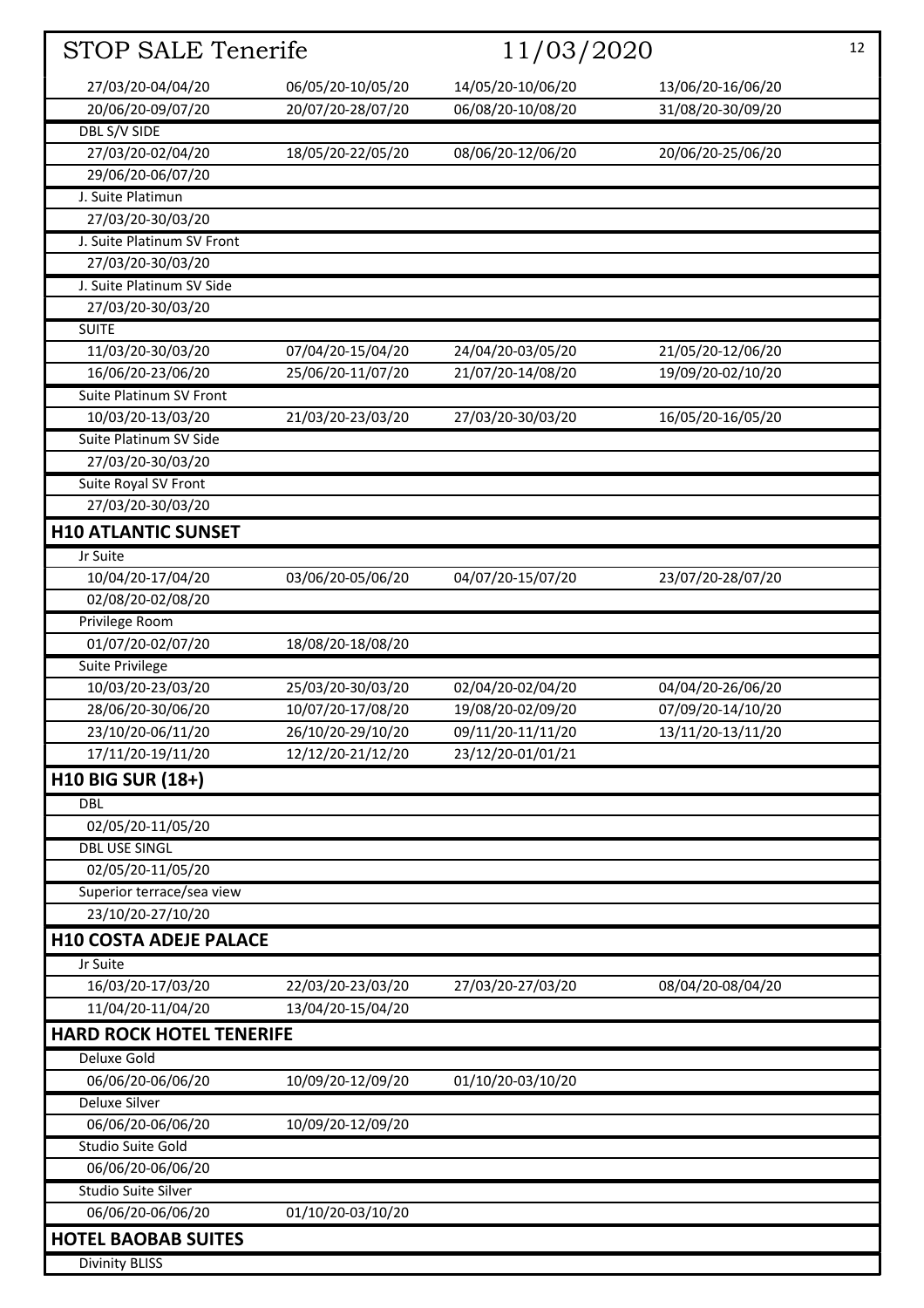| STOP SALE Tenerife                          |                   | 11/03/2020        |                   | 12 |
|---------------------------------------------|-------------------|-------------------|-------------------|----|
| 27/03/20-04/04/20                           | 06/05/20-10/05/20 | 14/05/20-10/06/20 | 13/06/20-16/06/20 |    |
| 20/06/20-09/07/20                           | 20/07/20-28/07/20 | 06/08/20-10/08/20 | 31/08/20-30/09/20 |    |
| <b>DBL S/V SIDE</b>                         |                   |                   |                   |    |
| 27/03/20-02/04/20                           | 18/05/20-22/05/20 | 08/06/20-12/06/20 | 20/06/20-25/06/20 |    |
| 29/06/20-06/07/20                           |                   |                   |                   |    |
| J. Suite Platimun                           |                   |                   |                   |    |
| 27/03/20-30/03/20                           |                   |                   |                   |    |
| J. Suite Platinum SV Front                  |                   |                   |                   |    |
| 27/03/20-30/03/20                           |                   |                   |                   |    |
| J. Suite Platinum SV Side                   |                   |                   |                   |    |
| 27/03/20-30/03/20                           |                   |                   |                   |    |
| <b>SUITE</b>                                |                   |                   |                   |    |
| 11/03/20-30/03/20                           | 07/04/20-15/04/20 | 24/04/20-03/05/20 | 21/05/20-12/06/20 |    |
| 16/06/20-23/06/20                           | 25/06/20-11/07/20 | 21/07/20-14/08/20 | 19/09/20-02/10/20 |    |
| Suite Platinum SV Front                     |                   |                   |                   |    |
| 10/03/20-13/03/20<br>Suite Platinum SV Side | 21/03/20-23/03/20 | 27/03/20-30/03/20 | 16/05/20-16/05/20 |    |
| 27/03/20-30/03/20                           |                   |                   |                   |    |
| Suite Royal SV Front                        |                   |                   |                   |    |
| 27/03/20-30/03/20                           |                   |                   |                   |    |
| <b>H10 ATLANTIC SUNSET</b>                  |                   |                   |                   |    |
| Jr Suite                                    |                   |                   |                   |    |
| 10/04/20-17/04/20                           | 03/06/20-05/06/20 | 04/07/20-15/07/20 | 23/07/20-28/07/20 |    |
| 02/08/20-02/08/20                           |                   |                   |                   |    |
| Privilege Room                              |                   |                   |                   |    |
| 01/07/20-02/07/20                           | 18/08/20-18/08/20 |                   |                   |    |
| Suite Privilege                             |                   |                   |                   |    |
| 10/03/20-23/03/20                           | 25/03/20-30/03/20 | 02/04/20-02/04/20 | 04/04/20-26/06/20 |    |
| 28/06/20-30/06/20                           | 10/07/20-17/08/20 | 19/08/20-02/09/20 | 07/09/20-14/10/20 |    |
| 23/10/20-06/11/20                           | 26/10/20-29/10/20 | 09/11/20-11/11/20 | 13/11/20-13/11/20 |    |
| 17/11/20-19/11/20                           | 12/12/20-21/12/20 | 23/12/20-01/01/21 |                   |    |
| <b>H10 BIG SUR (18+)</b><br><b>DBL</b>      |                   |                   |                   |    |
| 02/05/20-11/05/20                           |                   |                   |                   |    |
| <b>DBL USE SINGL</b>                        |                   |                   |                   |    |
| 02/05/20-11/05/20                           |                   |                   |                   |    |
| Superior terrace/sea view                   |                   |                   |                   |    |
| 23/10/20-27/10/20                           |                   |                   |                   |    |
| <b>H10 COSTA ADEJE PALACE</b>               |                   |                   |                   |    |
| Jr Suite                                    |                   |                   |                   |    |
| 16/03/20-17/03/20                           | 22/03/20-23/03/20 | 27/03/20-27/03/20 | 08/04/20-08/04/20 |    |
| 11/04/20-11/04/20                           | 13/04/20-15/04/20 |                   |                   |    |
| <b>HARD ROCK HOTEL TENERIFE</b>             |                   |                   |                   |    |
| Deluxe Gold                                 |                   |                   |                   |    |
| 06/06/20-06/06/20<br><b>Deluxe Silver</b>   | 10/09/20-12/09/20 | 01/10/20-03/10/20 |                   |    |
| 06/06/20-06/06/20                           | 10/09/20-12/09/20 |                   |                   |    |
| Studio Suite Gold                           |                   |                   |                   |    |
| 06/06/20-06/06/20                           |                   |                   |                   |    |
| <b>Studio Suite Silver</b>                  |                   |                   |                   |    |
| 06/06/20-06/06/20                           | 01/10/20-03/10/20 |                   |                   |    |
| <b>HOTEL BAOBAB SUITES</b>                  |                   |                   |                   |    |
| <b>Divinity BLISS</b>                       |                   |                   |                   |    |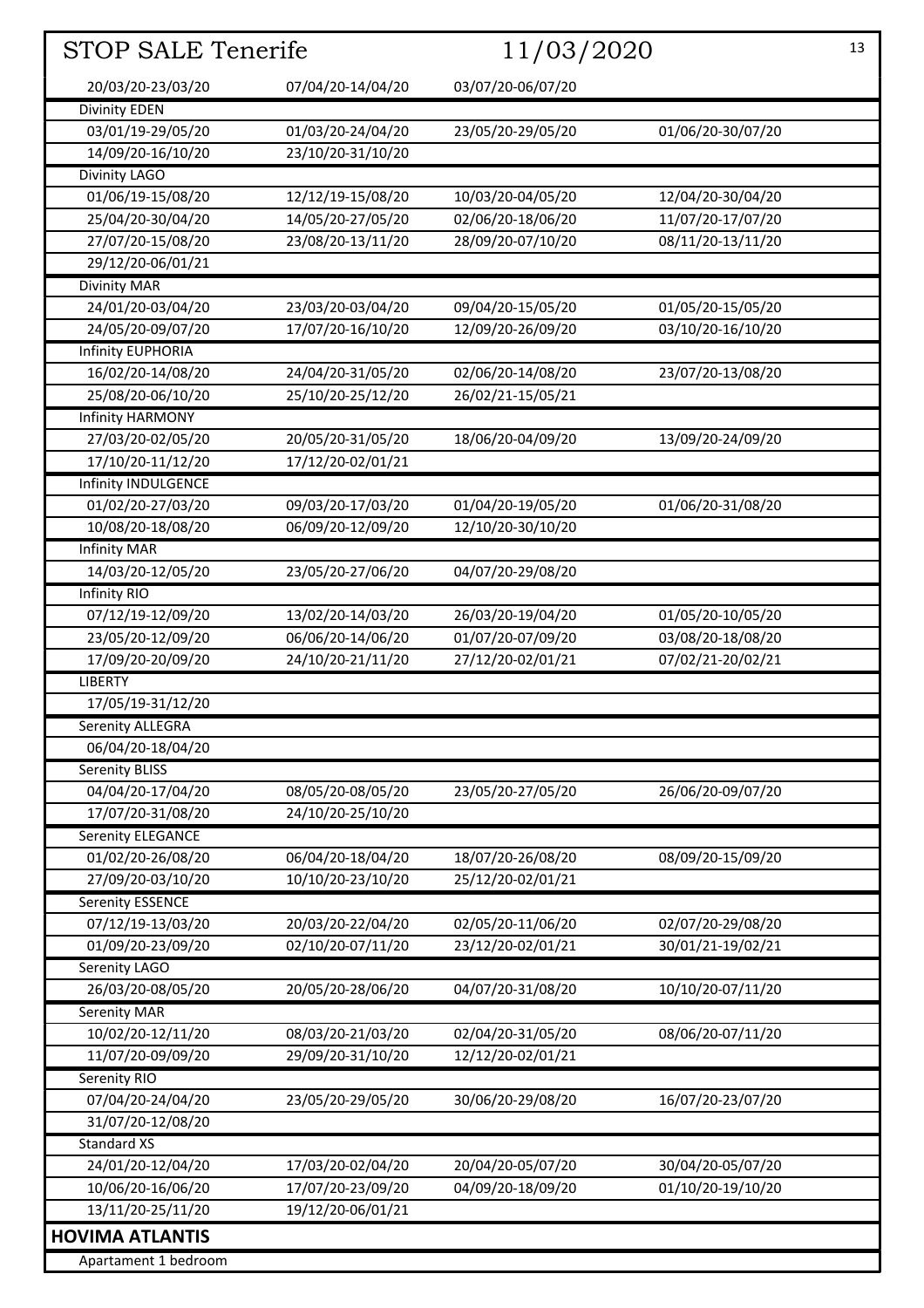| STOP SALE Tenerife       |                   |                   | 11/03/2020        |  |
|--------------------------|-------------------|-------------------|-------------------|--|
| 20/03/20-23/03/20        | 07/04/20-14/04/20 | 03/07/20-06/07/20 |                   |  |
| <b>Divinity EDEN</b>     |                   |                   |                   |  |
| 03/01/19-29/05/20        | 01/03/20-24/04/20 | 23/05/20-29/05/20 | 01/06/20-30/07/20 |  |
| 14/09/20-16/10/20        | 23/10/20-31/10/20 |                   |                   |  |
| Divinity LAGO            |                   |                   |                   |  |
| 01/06/19-15/08/20        | 12/12/19-15/08/20 | 10/03/20-04/05/20 | 12/04/20-30/04/20 |  |
| 25/04/20-30/04/20        | 14/05/20-27/05/20 | 02/06/20-18/06/20 | 11/07/20-17/07/20 |  |
| 27/07/20-15/08/20        | 23/08/20-13/11/20 | 28/09/20-07/10/20 | 08/11/20-13/11/20 |  |
| 29/12/20-06/01/21        |                   |                   |                   |  |
| <b>Divinity MAR</b>      |                   |                   |                   |  |
| 24/01/20-03/04/20        | 23/03/20-03/04/20 | 09/04/20-15/05/20 | 01/05/20-15/05/20 |  |
| 24/05/20-09/07/20        | 17/07/20-16/10/20 | 12/09/20-26/09/20 | 03/10/20-16/10/20 |  |
| <b>Infinity EUPHORIA</b> |                   |                   |                   |  |
| 16/02/20-14/08/20        | 24/04/20-31/05/20 | 02/06/20-14/08/20 | 23/07/20-13/08/20 |  |
| 25/08/20-06/10/20        | 25/10/20-25/12/20 | 26/02/21-15/05/21 |                   |  |
| <b>Infinity HARMONY</b>  |                   |                   |                   |  |
| 27/03/20-02/05/20        | 20/05/20-31/05/20 | 18/06/20-04/09/20 | 13/09/20-24/09/20 |  |
| 17/10/20-11/12/20        | 17/12/20-02/01/21 |                   |                   |  |
| Infinity INDULGENCE      |                   |                   |                   |  |
| 01/02/20-27/03/20        | 09/03/20-17/03/20 | 01/04/20-19/05/20 | 01/06/20-31/08/20 |  |
| 10/08/20-18/08/20        | 06/09/20-12/09/20 | 12/10/20-30/10/20 |                   |  |
| <b>Infinity MAR</b>      |                   |                   |                   |  |
| 14/03/20-12/05/20        | 23/05/20-27/06/20 | 04/07/20-29/08/20 |                   |  |
| <b>Infinity RIO</b>      |                   |                   |                   |  |
| 07/12/19-12/09/20        | 13/02/20-14/03/20 | 26/03/20-19/04/20 | 01/05/20-10/05/20 |  |
| 23/05/20-12/09/20        | 06/06/20-14/06/20 | 01/07/20-07/09/20 | 03/08/20-18/08/20 |  |
| 17/09/20-20/09/20        | 24/10/20-21/11/20 | 27/12/20-02/01/21 | 07/02/21-20/02/21 |  |
| <b>LIBERTY</b>           |                   |                   |                   |  |
| 17/05/19-31/12/20        |                   |                   |                   |  |
| Serenity ALLEGRA         |                   |                   |                   |  |
| 06/04/20-18/04/20        |                   |                   |                   |  |
| <b>Serenity BLISS</b>    |                   |                   |                   |  |
| 04/04/20-17/04/20        | 08/05/20-08/05/20 | 23/05/20-27/05/20 | 26/06/20-09/07/20 |  |
| 17/07/20-31/08/20        | 24/10/20-25/10/20 |                   |                   |  |
| <b>Serenity ELEGANCE</b> |                   |                   |                   |  |
| 01/02/20-26/08/20        | 06/04/20-18/04/20 | 18/07/20-26/08/20 | 08/09/20-15/09/20 |  |
| 27/09/20-03/10/20        | 10/10/20-23/10/20 | 25/12/20-02/01/21 |                   |  |
| <b>Serenity ESSENCE</b>  |                   |                   |                   |  |
| 07/12/19-13/03/20        | 20/03/20-22/04/20 | 02/05/20-11/06/20 | 02/07/20-29/08/20 |  |
| 01/09/20-23/09/20        | 02/10/20-07/11/20 | 23/12/20-02/01/21 | 30/01/21-19/02/21 |  |
| Serenity LAGO            |                   |                   |                   |  |
| 26/03/20-08/05/20        | 20/05/20-28/06/20 | 04/07/20-31/08/20 | 10/10/20-07/11/20 |  |
| <b>Serenity MAR</b>      |                   |                   |                   |  |
| 10/02/20-12/11/20        | 08/03/20-21/03/20 | 02/04/20-31/05/20 | 08/06/20-07/11/20 |  |
| 11/07/20-09/09/20        | 29/09/20-31/10/20 | 12/12/20-02/01/21 |                   |  |
| Serenity RIO             |                   |                   |                   |  |
| 07/04/20-24/04/20        | 23/05/20-29/05/20 | 30/06/20-29/08/20 | 16/07/20-23/07/20 |  |
| 31/07/20-12/08/20        |                   |                   |                   |  |
| <b>Standard XS</b>       |                   |                   |                   |  |
| 24/01/20-12/04/20        | 17/03/20-02/04/20 | 20/04/20-05/07/20 | 30/04/20-05/07/20 |  |
| 10/06/20-16/06/20        | 17/07/20-23/09/20 | 04/09/20-18/09/20 | 01/10/20-19/10/20 |  |
| 13/11/20-25/11/20        | 19/12/20-06/01/21 |                   |                   |  |
| <b>HOVIMA ATLANTIS</b>   |                   |                   |                   |  |
| Apartament 1 bedroom     |                   |                   |                   |  |
|                          |                   |                   |                   |  |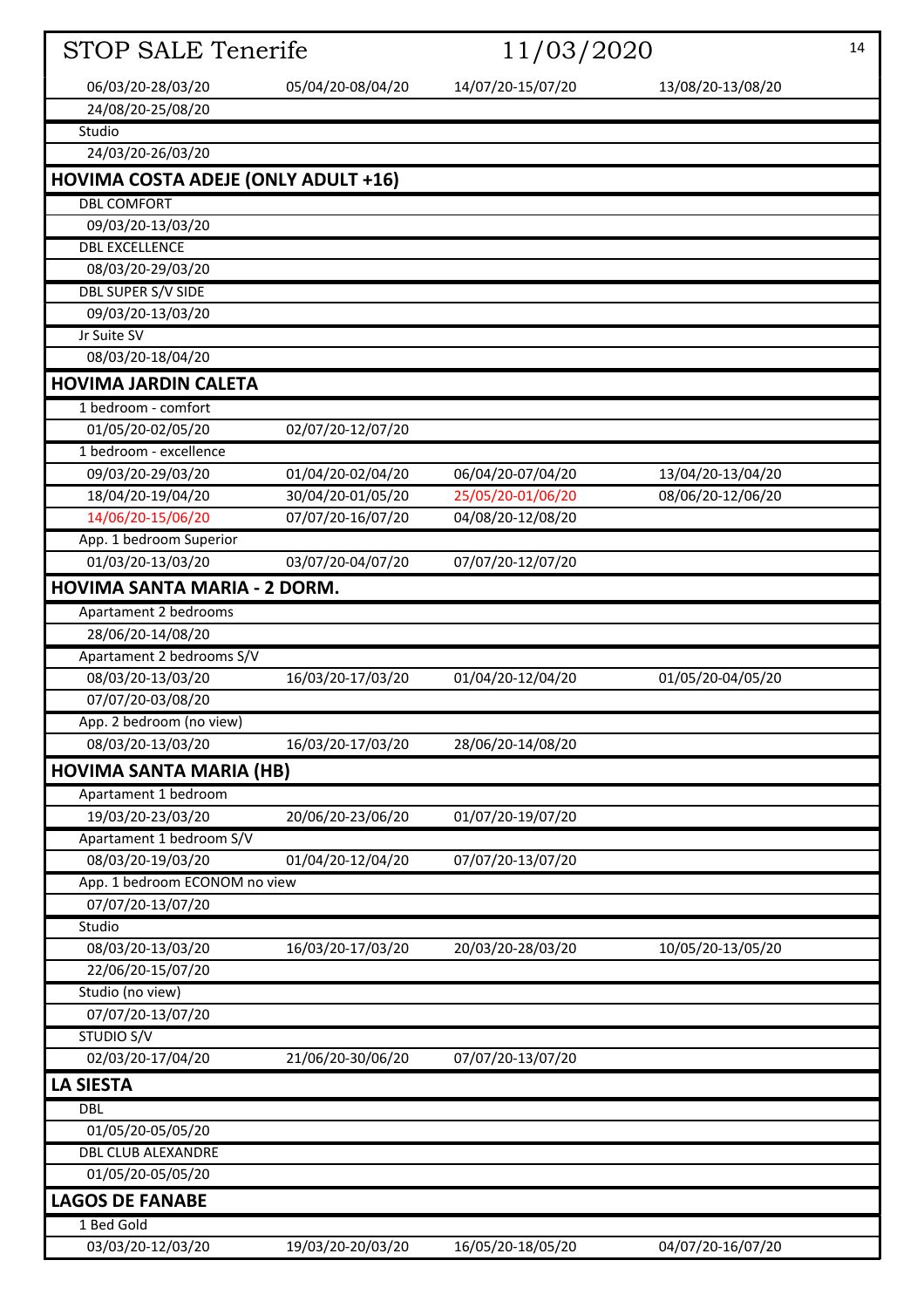| <b>STOP SALE Tenerife</b>                  |                   | 11/03/2020        |                   | 14 |
|--------------------------------------------|-------------------|-------------------|-------------------|----|
| 06/03/20-28/03/20                          | 05/04/20-08/04/20 | 14/07/20-15/07/20 | 13/08/20-13/08/20 |    |
| 24/08/20-25/08/20                          |                   |                   |                   |    |
| Studio                                     |                   |                   |                   |    |
| 24/03/20-26/03/20                          |                   |                   |                   |    |
| <b>HOVIMA COSTA ADEJE (ONLY ADULT +16)</b> |                   |                   |                   |    |
| <b>DBL COMFORT</b>                         |                   |                   |                   |    |
| 09/03/20-13/03/20                          |                   |                   |                   |    |
| <b>DBL EXCELLENCE</b>                      |                   |                   |                   |    |
| 08/03/20-29/03/20                          |                   |                   |                   |    |
| <b>DBL SUPER S/V SIDE</b>                  |                   |                   |                   |    |
| 09/03/20-13/03/20                          |                   |                   |                   |    |
| Jr Suite SV                                |                   |                   |                   |    |
| 08/03/20-18/04/20                          |                   |                   |                   |    |
| <b>HOVIMA JARDIN CALETA</b>                |                   |                   |                   |    |
| 1 bedroom - comfort                        |                   |                   |                   |    |
| 01/05/20-02/05/20                          | 02/07/20-12/07/20 |                   |                   |    |
| 1 bedroom - excellence                     |                   |                   |                   |    |
| 09/03/20-29/03/20                          | 01/04/20-02/04/20 | 06/04/20-07/04/20 | 13/04/20-13/04/20 |    |
| 18/04/20-19/04/20                          | 30/04/20-01/05/20 | 25/05/20-01/06/20 | 08/06/20-12/06/20 |    |
| 14/06/20-15/06/20                          | 07/07/20-16/07/20 | 04/08/20-12/08/20 |                   |    |
| App. 1 bedroom Superior                    |                   |                   |                   |    |
| 01/03/20-13/03/20                          | 03/07/20-04/07/20 | 07/07/20-12/07/20 |                   |    |
| HOVIMA SANTA MARIA - 2 DORM.               |                   |                   |                   |    |
| Apartament 2 bedrooms                      |                   |                   |                   |    |
| 28/06/20-14/08/20                          |                   |                   |                   |    |
| Apartament 2 bedrooms S/V                  |                   |                   |                   |    |
| 08/03/20-13/03/20                          | 16/03/20-17/03/20 | 01/04/20-12/04/20 | 01/05/20-04/05/20 |    |
| 07/07/20-03/08/20                          |                   |                   |                   |    |
| App. 2 bedroom (no view)                   |                   |                   |                   |    |
| 08/03/20-13/03/20                          | 16/03/20-17/03/20 | 28/06/20-14/08/20 |                   |    |
| <b>HOVIMA SANTA MARIA (HB)</b>             |                   |                   |                   |    |
| Apartament 1 bedroom                       |                   |                   |                   |    |
| 19/03/20-23/03/20                          | 20/06/20-23/06/20 | 01/07/20-19/07/20 |                   |    |
| Apartament 1 bedroom S/V                   |                   |                   |                   |    |
| 08/03/20-19/03/20                          | 01/04/20-12/04/20 | 07/07/20-13/07/20 |                   |    |
| App. 1 bedroom ECONOM no view              |                   |                   |                   |    |
| 07/07/20-13/07/20                          |                   |                   |                   |    |
| Studio                                     |                   |                   |                   |    |
| 08/03/20-13/03/20<br>22/06/20-15/07/20     | 16/03/20-17/03/20 | 20/03/20-28/03/20 | 10/05/20-13/05/20 |    |
| Studio (no view)                           |                   |                   |                   |    |
| 07/07/20-13/07/20                          |                   |                   |                   |    |
| <b>STUDIO S/V</b>                          |                   |                   |                   |    |
| 02/03/20-17/04/20                          | 21/06/20-30/06/20 | 07/07/20-13/07/20 |                   |    |
| <b>LA SIESTA</b>                           |                   |                   |                   |    |
| <b>DBL</b>                                 |                   |                   |                   |    |
| 01/05/20-05/05/20                          |                   |                   |                   |    |
| <b>DBL CLUB ALEXANDRE</b>                  |                   |                   |                   |    |
| 01/05/20-05/05/20                          |                   |                   |                   |    |
| <b>LAGOS DE FANABE</b>                     |                   |                   |                   |    |
| 1 Bed Gold                                 |                   |                   |                   |    |
| 03/03/20-12/03/20                          | 19/03/20-20/03/20 | 16/05/20-18/05/20 | 04/07/20-16/07/20 |    |
|                                            |                   |                   |                   |    |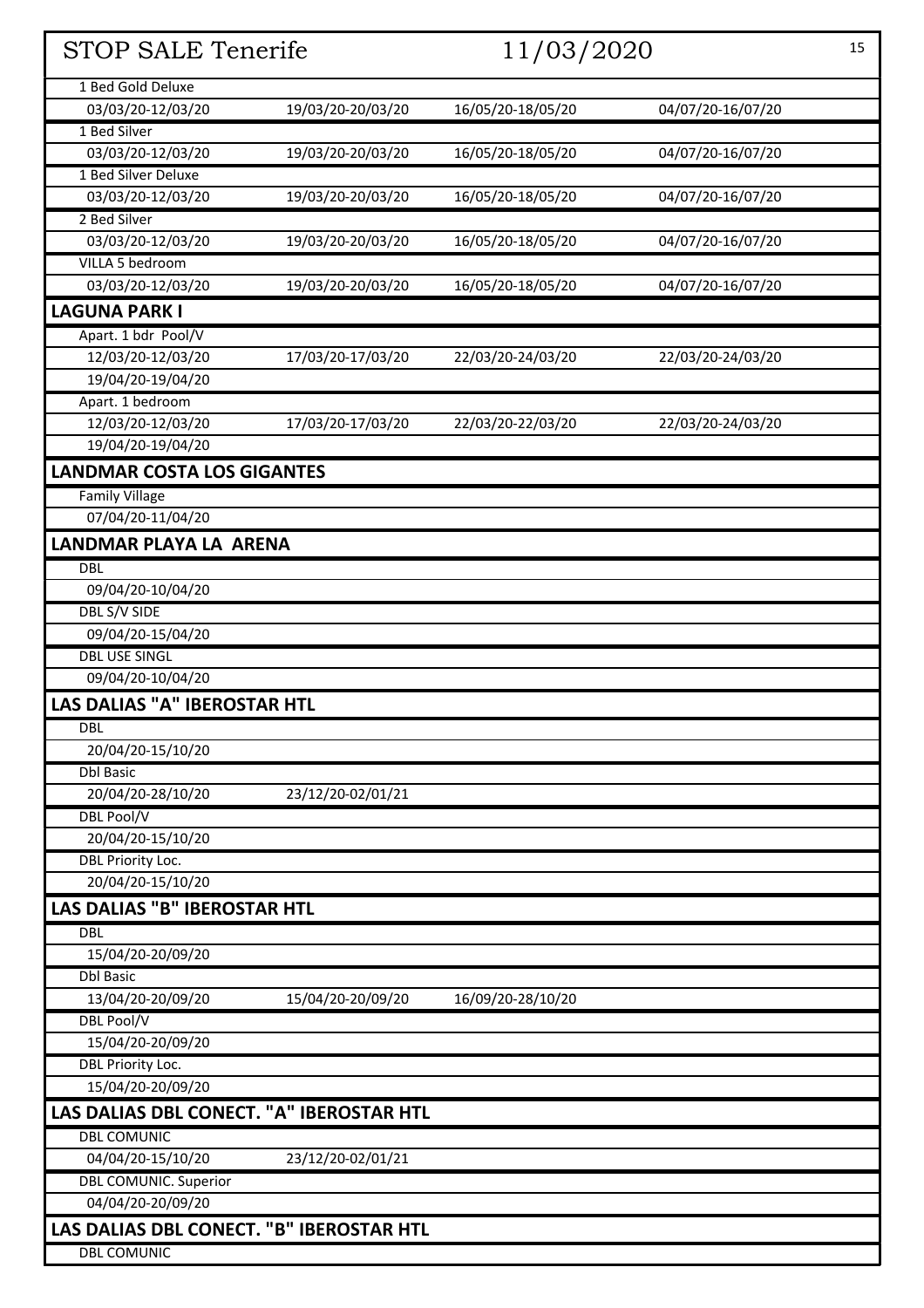| <b>STOP SALE Tenerife</b>                | 11/03/2020        |                   | 15                |  |
|------------------------------------------|-------------------|-------------------|-------------------|--|
| 1 Bed Gold Deluxe                        |                   |                   |                   |  |
| 03/03/20-12/03/20                        | 19/03/20-20/03/20 | 16/05/20-18/05/20 | 04/07/20-16/07/20 |  |
| 1 Bed Silver                             |                   |                   |                   |  |
| 03/03/20-12/03/20                        | 19/03/20-20/03/20 | 16/05/20-18/05/20 | 04/07/20-16/07/20 |  |
| 1 Bed Silver Deluxe                      |                   |                   |                   |  |
| 03/03/20-12/03/20                        | 19/03/20-20/03/20 | 16/05/20-18/05/20 | 04/07/20-16/07/20 |  |
| 2 Bed Silver                             |                   |                   |                   |  |
| 03/03/20-12/03/20                        | 19/03/20-20/03/20 | 16/05/20-18/05/20 | 04/07/20-16/07/20 |  |
| VILLA 5 bedroom                          |                   |                   |                   |  |
| 03/03/20-12/03/20                        | 19/03/20-20/03/20 | 16/05/20-18/05/20 | 04/07/20-16/07/20 |  |
| <b>LAGUNA PARK I</b>                     |                   |                   |                   |  |
| Apart. 1 bdr Pool/V                      |                   |                   |                   |  |
| 12/03/20-12/03/20                        | 17/03/20-17/03/20 | 22/03/20-24/03/20 | 22/03/20-24/03/20 |  |
| 19/04/20-19/04/20                        |                   |                   |                   |  |
| Apart. 1 bedroom                         |                   |                   |                   |  |
| 12/03/20-12/03/20                        | 17/03/20-17/03/20 | 22/03/20-22/03/20 | 22/03/20-24/03/20 |  |
| 19/04/20-19/04/20                        |                   |                   |                   |  |
| <b>LANDMAR COSTA LOS GIGANTES</b>        |                   |                   |                   |  |
| <b>Family Village</b>                    |                   |                   |                   |  |
| 07/04/20-11/04/20                        |                   |                   |                   |  |
| LANDMAR PLAYA LA ARENA                   |                   |                   |                   |  |
| <b>DBL</b>                               |                   |                   |                   |  |
| 09/04/20-10/04/20                        |                   |                   |                   |  |
| DBL S/V SIDE                             |                   |                   |                   |  |
| 09/04/20-15/04/20                        |                   |                   |                   |  |
| <b>DBL USE SINGL</b>                     |                   |                   |                   |  |
| 09/04/20-10/04/20                        |                   |                   |                   |  |
| <b>LAS DALIAS "A" IBEROSTAR HTL</b>      |                   |                   |                   |  |
| <b>DBL</b>                               |                   |                   |                   |  |
| 20/04/20-15/10/20                        |                   |                   |                   |  |
| <b>Dbl Basic</b>                         |                   |                   |                   |  |
| 20/04/20-28/10/20                        | 23/12/20-02/01/21 |                   |                   |  |
| <b>DBL Pool/V</b>                        |                   |                   |                   |  |
| 20/04/20-15/10/20                        |                   |                   |                   |  |
| DBL Priority Loc.<br>20/04/20-15/10/20   |                   |                   |                   |  |
|                                          |                   |                   |                   |  |
| <b>LAS DALIAS "B" IBEROSTAR HTL</b>      |                   |                   |                   |  |
| <b>DBL</b>                               |                   |                   |                   |  |
| 15/04/20-20/09/20<br><b>Dbl Basic</b>    |                   |                   |                   |  |
| 13/04/20-20/09/20                        | 15/04/20-20/09/20 | 16/09/20-28/10/20 |                   |  |
| <b>DBL Pool/V</b>                        |                   |                   |                   |  |
| 15/04/20-20/09/20                        |                   |                   |                   |  |
| DBL Priority Loc.                        |                   |                   |                   |  |
| 15/04/20-20/09/20                        |                   |                   |                   |  |
| LAS DALIAS DBL CONECT. "A" IBEROSTAR HTL |                   |                   |                   |  |
| <b>DBL COMUNIC</b>                       |                   |                   |                   |  |
| 04/04/20-15/10/20                        | 23/12/20-02/01/21 |                   |                   |  |
| <b>DBL COMUNIC. Superior</b>             |                   |                   |                   |  |
| 04/04/20-20/09/20                        |                   |                   |                   |  |
| LAS DALIAS DBL CONECT. "B" IBEROSTAR HTL |                   |                   |                   |  |
| <b>DBL COMUNIC</b>                       |                   |                   |                   |  |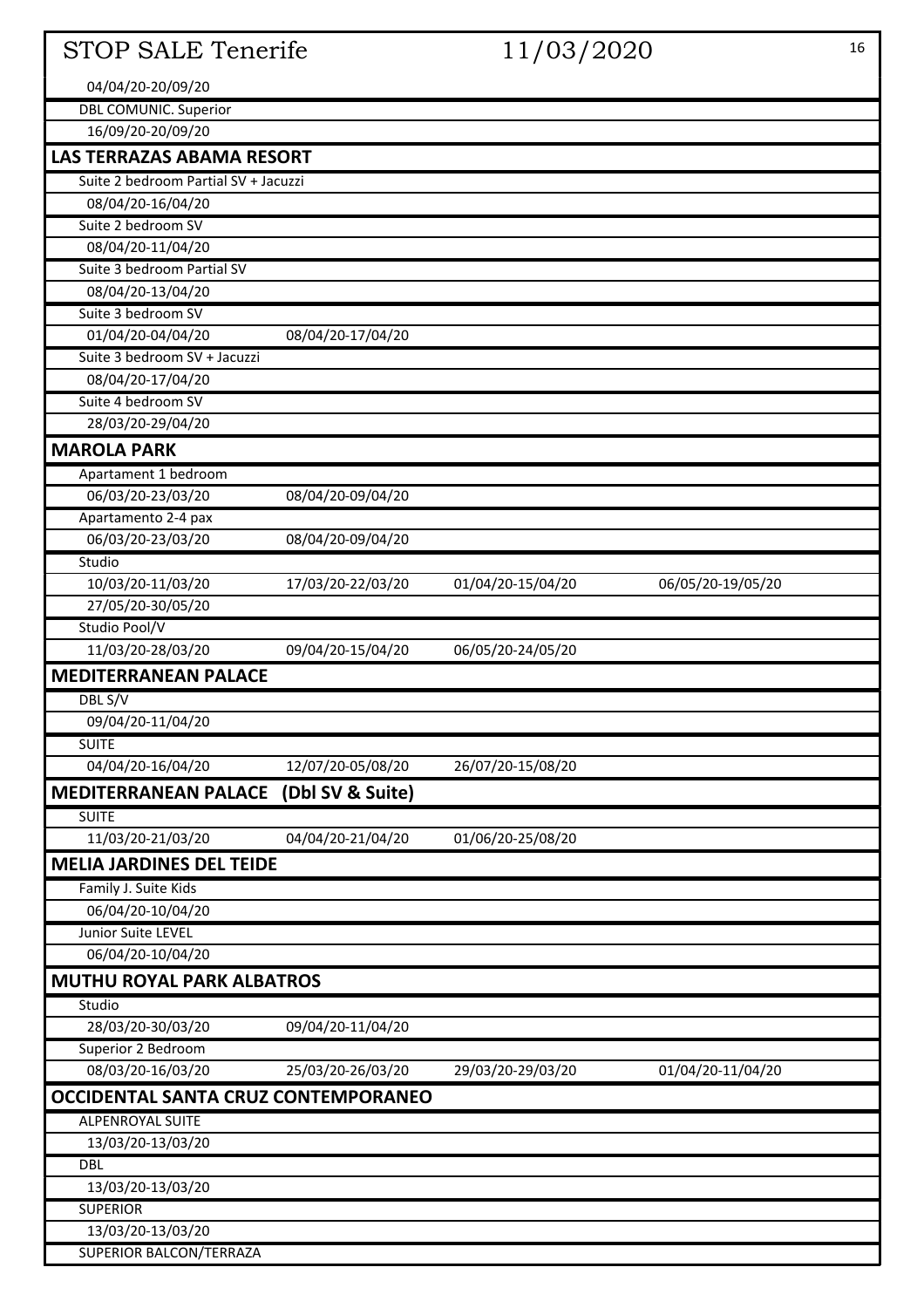| <b>STOP SALE Tenerife</b>                        |                   | 11/03/2020        |                   | 16 |
|--------------------------------------------------|-------------------|-------------------|-------------------|----|
| 04/04/20-20/09/20                                |                   |                   |                   |    |
| <b>DBL COMUNIC. Superior</b>                     |                   |                   |                   |    |
| 16/09/20-20/09/20                                |                   |                   |                   |    |
| <b>LAS TERRAZAS ABAMA RESORT</b>                 |                   |                   |                   |    |
| Suite 2 bedroom Partial SV + Jacuzzi             |                   |                   |                   |    |
| 08/04/20-16/04/20                                |                   |                   |                   |    |
| Suite 2 bedroom SV                               |                   |                   |                   |    |
| 08/04/20-11/04/20                                |                   |                   |                   |    |
| Suite 3 bedroom Partial SV                       |                   |                   |                   |    |
| 08/04/20-13/04/20                                |                   |                   |                   |    |
| Suite 3 bedroom SV                               |                   |                   |                   |    |
| 01/04/20-04/04/20                                | 08/04/20-17/04/20 |                   |                   |    |
| Suite 3 bedroom SV + Jacuzzi                     |                   |                   |                   |    |
| 08/04/20-17/04/20                                |                   |                   |                   |    |
| Suite 4 bedroom SV                               |                   |                   |                   |    |
| 28/03/20-29/04/20                                |                   |                   |                   |    |
| <b>MAROLA PARK</b>                               |                   |                   |                   |    |
| Apartament 1 bedroom                             |                   |                   |                   |    |
| 06/03/20-23/03/20                                | 08/04/20-09/04/20 |                   |                   |    |
| Apartamento 2-4 pax                              |                   |                   |                   |    |
| 06/03/20-23/03/20                                | 08/04/20-09/04/20 |                   |                   |    |
| Studio                                           |                   |                   |                   |    |
| 10/03/20-11/03/20                                | 17/03/20-22/03/20 | 01/04/20-15/04/20 | 06/05/20-19/05/20 |    |
| 27/05/20-30/05/20                                |                   |                   |                   |    |
| Studio Pool/V                                    |                   |                   |                   |    |
| 11/03/20-28/03/20                                | 09/04/20-15/04/20 | 06/05/20-24/05/20 |                   |    |
| <b>MEDITERRANEAN PALACE</b>                      |                   |                   |                   |    |
| DBL S/V                                          |                   |                   |                   |    |
| 09/04/20-11/04/20                                |                   |                   |                   |    |
| <b>SUITE</b>                                     |                   |                   |                   |    |
| 04/04/20-16/04/20                                | 12/07/20-05/08/20 | 26/07/20-15/08/20 |                   |    |
| <b>MEDITERRANEAN PALACE (Dbl SV &amp; Suite)</b> |                   |                   |                   |    |
| <b>SUITE</b>                                     |                   |                   |                   |    |
| 11/03/20-21/03/20                                | 04/04/20-21/04/20 | 01/06/20-25/08/20 |                   |    |
| <b>MELIA JARDINES DEL TEIDE</b>                  |                   |                   |                   |    |
| Family J. Suite Kids                             |                   |                   |                   |    |
| 06/04/20-10/04/20                                |                   |                   |                   |    |
| Junior Suite LEVEL                               |                   |                   |                   |    |
| 06/04/20-10/04/20                                |                   |                   |                   |    |
| <b>MUTHU ROYAL PARK ALBATROS</b>                 |                   |                   |                   |    |
| Studio                                           |                   |                   |                   |    |
| 28/03/20-30/03/20                                | 09/04/20-11/04/20 |                   |                   |    |
| Superior 2 Bedroom                               |                   |                   |                   |    |
| 08/03/20-16/03/20                                | 25/03/20-26/03/20 | 29/03/20-29/03/20 | 01/04/20-11/04/20 |    |
| OCCIDENTAL SANTA CRUZ CONTEMPORANEO              |                   |                   |                   |    |
| <b>ALPENROYAL SUITE</b>                          |                   |                   |                   |    |
| 13/03/20-13/03/20                                |                   |                   |                   |    |
| <b>DBL</b>                                       |                   |                   |                   |    |
| 13/03/20-13/03/20                                |                   |                   |                   |    |
| <b>SUPERIOR</b>                                  |                   |                   |                   |    |
| 13/03/20-13/03/20<br>SUPERIOR BALCON/TERRAZA     |                   |                   |                   |    |
|                                                  |                   |                   |                   |    |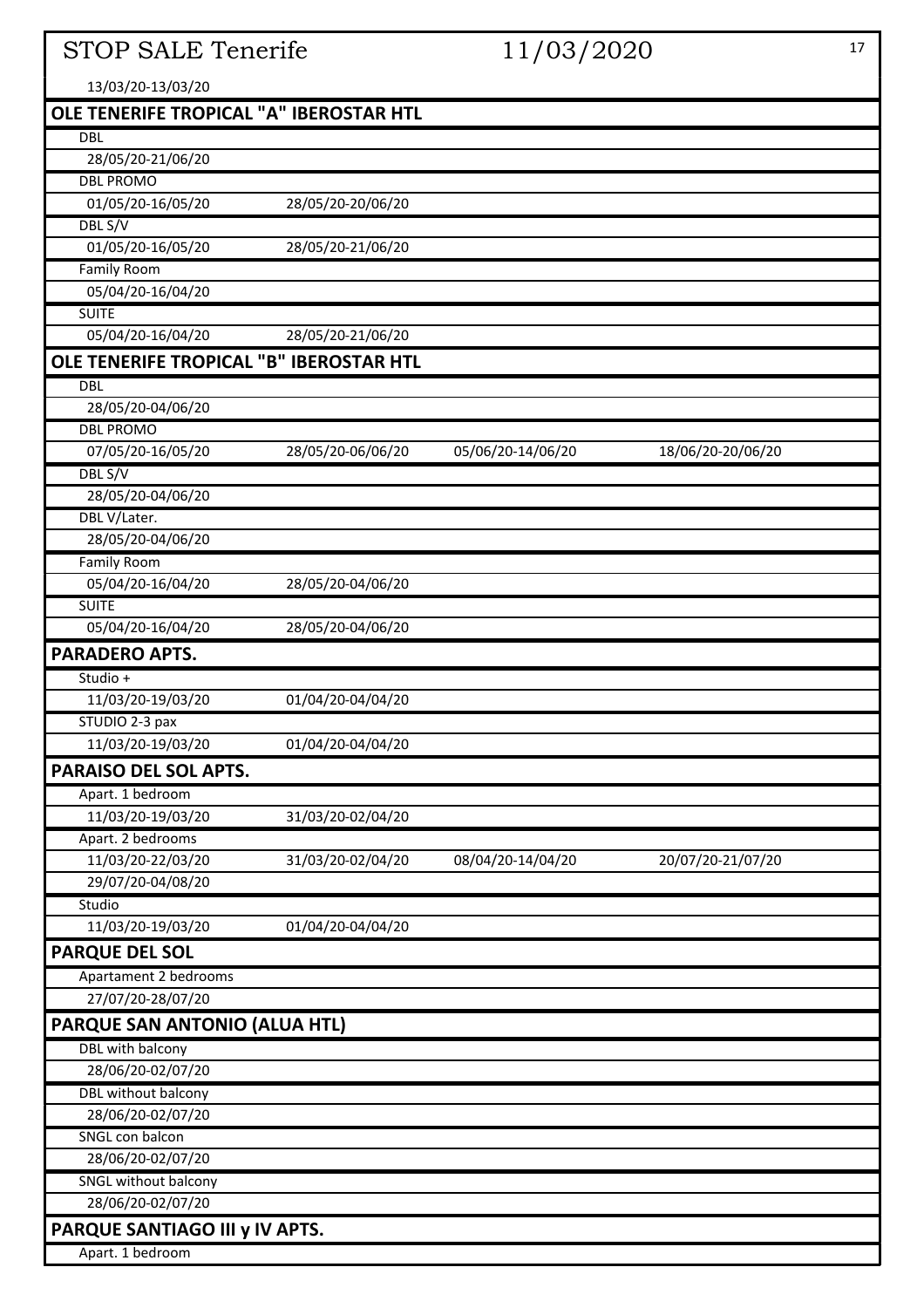# STOP SALE Tenerife 11/03/2020 17

| 13/03/20-13/03/20                       |                   |                   |                   |
|-----------------------------------------|-------------------|-------------------|-------------------|
| OLE TENERIFE TROPICAL "A" IBEROSTAR HTL |                   |                   |                   |
| <b>DBL</b>                              |                   |                   |                   |
| 28/05/20-21/06/20                       |                   |                   |                   |
| <b>DBL PROMO</b>                        |                   |                   |                   |
| 01/05/20-16/05/20                       | 28/05/20-20/06/20 |                   |                   |
| DBL S/V                                 |                   |                   |                   |
| 01/05/20-16/05/20                       | 28/05/20-21/06/20 |                   |                   |
| <b>Family Room</b>                      |                   |                   |                   |
| 05/04/20-16/04/20                       |                   |                   |                   |
| <b>SUITE</b>                            |                   |                   |                   |
| 05/04/20-16/04/20                       | 28/05/20-21/06/20 |                   |                   |
| OLE TENERIFE TROPICAL "B" IBEROSTAR HTL |                   |                   |                   |
| <b>DBL</b>                              |                   |                   |                   |
| 28/05/20-04/06/20                       |                   |                   |                   |
| <b>DBL PROMO</b>                        |                   |                   |                   |
| 07/05/20-16/05/20                       | 28/05/20-06/06/20 | 05/06/20-14/06/20 | 18/06/20-20/06/20 |
| DBL S/V                                 |                   |                   |                   |
| 28/05/20-04/06/20                       |                   |                   |                   |
| DBL V/Later.                            |                   |                   |                   |
| 28/05/20-04/06/20                       |                   |                   |                   |
| <b>Family Room</b>                      |                   |                   |                   |
| 05/04/20-16/04/20                       | 28/05/20-04/06/20 |                   |                   |
| <b>SUITE</b>                            |                   |                   |                   |
| 05/04/20-16/04/20                       | 28/05/20-04/06/20 |                   |                   |
| <b>PARADERO APTS.</b>                   |                   |                   |                   |
| Studio +                                |                   |                   |                   |
| 11/03/20-19/03/20                       | 01/04/20-04/04/20 |                   |                   |
| STUDIO 2-3 pax                          |                   |                   |                   |
| 11/03/20-19/03/20                       | 01/04/20-04/04/20 |                   |                   |
| PARAISO DEL SOL APTS.                   |                   |                   |                   |
| Apart. 1 bedroom                        |                   |                   |                   |
| 11/03/20-19/03/20                       | 31/03/20-02/04/20 |                   |                   |
| Apart. 2 bedrooms                       |                   |                   |                   |
| 11/03/20-22/03/20                       | 31/03/20-02/04/20 | 08/04/20-14/04/20 | 20/07/20-21/07/20 |
| 29/07/20-04/08/20                       |                   |                   |                   |
| Studio                                  |                   |                   |                   |
| 11/03/20-19/03/20                       | 01/04/20-04/04/20 |                   |                   |
| <b>PARQUE DEL SOL</b>                   |                   |                   |                   |
| Apartament 2 bedrooms                   |                   |                   |                   |
| 27/07/20-28/07/20                       |                   |                   |                   |
| PARQUE SAN ANTONIO (ALUA HTL)           |                   |                   |                   |
| DBL with balcony                        |                   |                   |                   |
| 28/06/20-02/07/20                       |                   |                   |                   |
| <b>DBL</b> without balcony              |                   |                   |                   |
| 28/06/20-02/07/20                       |                   |                   |                   |
| SNGL con balcon                         |                   |                   |                   |
| 28/06/20-02/07/20                       |                   |                   |                   |
| SNGL without balcony                    |                   |                   |                   |
| 28/06/20-02/07/20                       |                   |                   |                   |
| PARQUE SANTIAGO III y IV APTS.          |                   |                   |                   |
| Apart. 1 bedroom                        |                   |                   |                   |
|                                         |                   |                   |                   |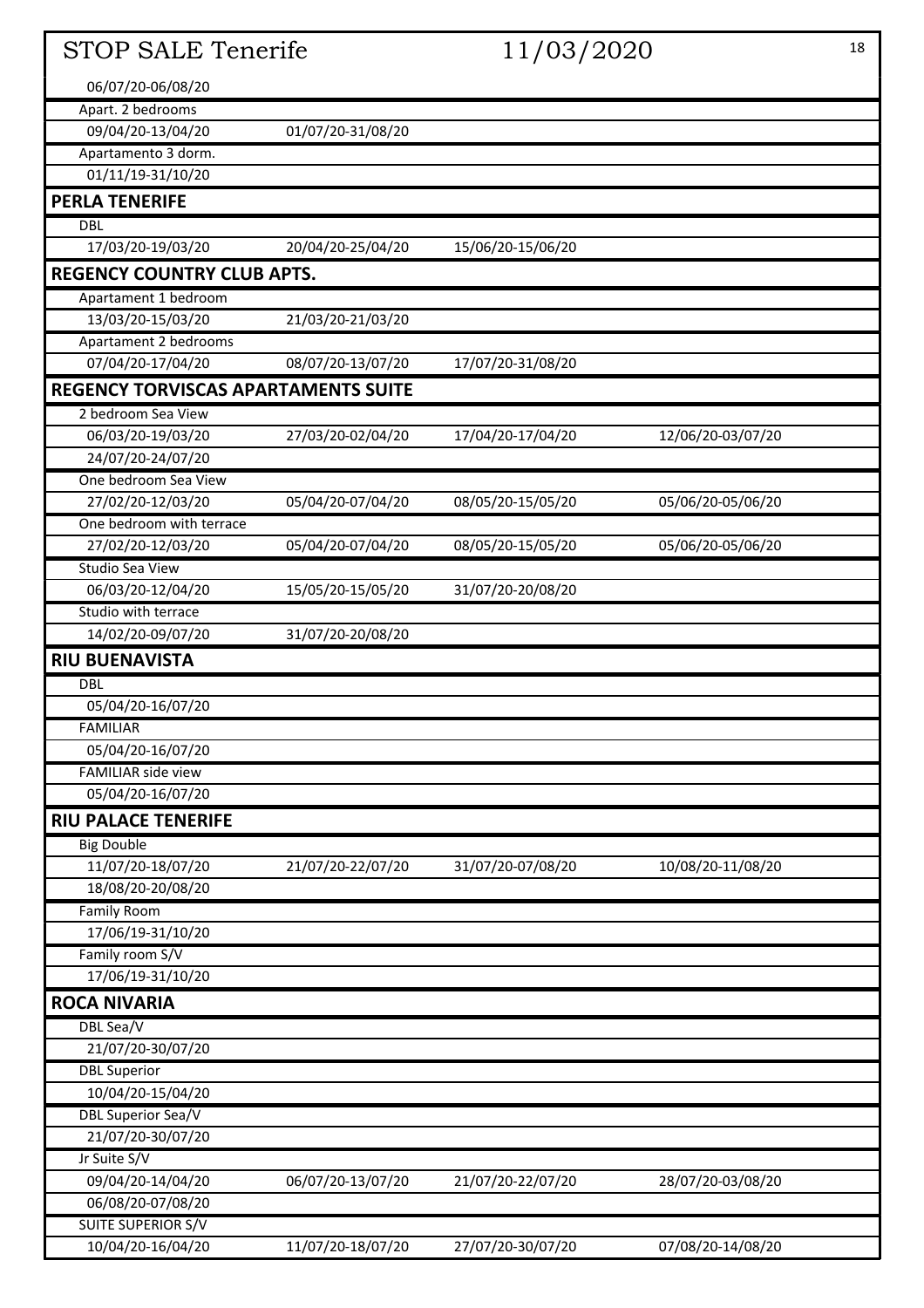| <b>STOP SALE Tenerife</b>                  |                   | 11/03/2020        |                   | 18 |
|--------------------------------------------|-------------------|-------------------|-------------------|----|
| 06/07/20-06/08/20                          |                   |                   |                   |    |
| Apart. 2 bedrooms                          |                   |                   |                   |    |
| 09/04/20-13/04/20                          | 01/07/20-31/08/20 |                   |                   |    |
| Apartamento 3 dorm.                        |                   |                   |                   |    |
| 01/11/19-31/10/20                          |                   |                   |                   |    |
| <b>PERLA TENERIFE</b>                      |                   |                   |                   |    |
| <b>DBL</b>                                 |                   |                   |                   |    |
| 17/03/20-19/03/20                          | 20/04/20-25/04/20 | 15/06/20-15/06/20 |                   |    |
| <b>REGENCY COUNTRY CLUB APTS.</b>          |                   |                   |                   |    |
| Apartament 1 bedroom                       |                   |                   |                   |    |
| 13/03/20-15/03/20                          | 21/03/20-21/03/20 |                   |                   |    |
| Apartament 2 bedrooms                      |                   |                   |                   |    |
| 07/04/20-17/04/20                          | 08/07/20-13/07/20 | 17/07/20-31/08/20 |                   |    |
| <b>REGENCY TORVISCAS APARTAMENTS SUITE</b> |                   |                   |                   |    |
| 2 bedroom Sea View                         |                   |                   |                   |    |
| 06/03/20-19/03/20                          | 27/03/20-02/04/20 | 17/04/20-17/04/20 | 12/06/20-03/07/20 |    |
| 24/07/20-24/07/20                          |                   |                   |                   |    |
| One bedroom Sea View                       |                   |                   |                   |    |
| 27/02/20-12/03/20                          | 05/04/20-07/04/20 | 08/05/20-15/05/20 | 05/06/20-05/06/20 |    |
| One bedroom with terrace                   |                   |                   |                   |    |
| 27/02/20-12/03/20                          | 05/04/20-07/04/20 | 08/05/20-15/05/20 | 05/06/20-05/06/20 |    |
| Studio Sea View                            |                   |                   |                   |    |
| 06/03/20-12/04/20                          | 15/05/20-15/05/20 | 31/07/20-20/08/20 |                   |    |
| Studio with terrace                        |                   |                   |                   |    |
| 14/02/20-09/07/20                          | 31/07/20-20/08/20 |                   |                   |    |
| <b>RIU BUENAVISTA</b>                      |                   |                   |                   |    |
| DBL                                        |                   |                   |                   |    |
| 05/04/20-16/07/20                          |                   |                   |                   |    |
| <b>FAMILIAR</b>                            |                   |                   |                   |    |
| 05/04/20-16/07/20                          |                   |                   |                   |    |
| <b>FAMILIAR side view</b>                  |                   |                   |                   |    |
| 05/04/20-16/07/20                          |                   |                   |                   |    |
| <b>RIU PALACE TENERIFE</b>                 |                   |                   |                   |    |
| <b>Big Double</b>                          |                   |                   |                   |    |
| 11/07/20-18/07/20                          | 21/07/20-22/07/20 | 31/07/20-07/08/20 | 10/08/20-11/08/20 |    |
| 18/08/20-20/08/20                          |                   |                   |                   |    |
| Family Room                                |                   |                   |                   |    |
| 17/06/19-31/10/20                          |                   |                   |                   |    |
| Family room S/V                            |                   |                   |                   |    |
| 17/06/19-31/10/20                          |                   |                   |                   |    |
| <b>ROCA NIVARIA</b>                        |                   |                   |                   |    |
| <b>DBL Sea/V</b>                           |                   |                   |                   |    |
| 21/07/20-30/07/20                          |                   |                   |                   |    |
| <b>DBL Superior</b>                        |                   |                   |                   |    |
| 10/04/20-15/04/20                          |                   |                   |                   |    |
| <b>DBL Superior Sea/V</b>                  |                   |                   |                   |    |
| 21/07/20-30/07/20                          |                   |                   |                   |    |
| Jr Suite S/V                               |                   |                   |                   |    |
| 09/04/20-14/04/20                          | 06/07/20-13/07/20 | 21/07/20-22/07/20 | 28/07/20-03/08/20 |    |
| 06/08/20-07/08/20                          |                   |                   |                   |    |
| <b>SUITE SUPERIOR S/V</b>                  |                   |                   |                   |    |
| 10/04/20-16/04/20                          | 11/07/20-18/07/20 | 27/07/20-30/07/20 | 07/08/20-14/08/20 |    |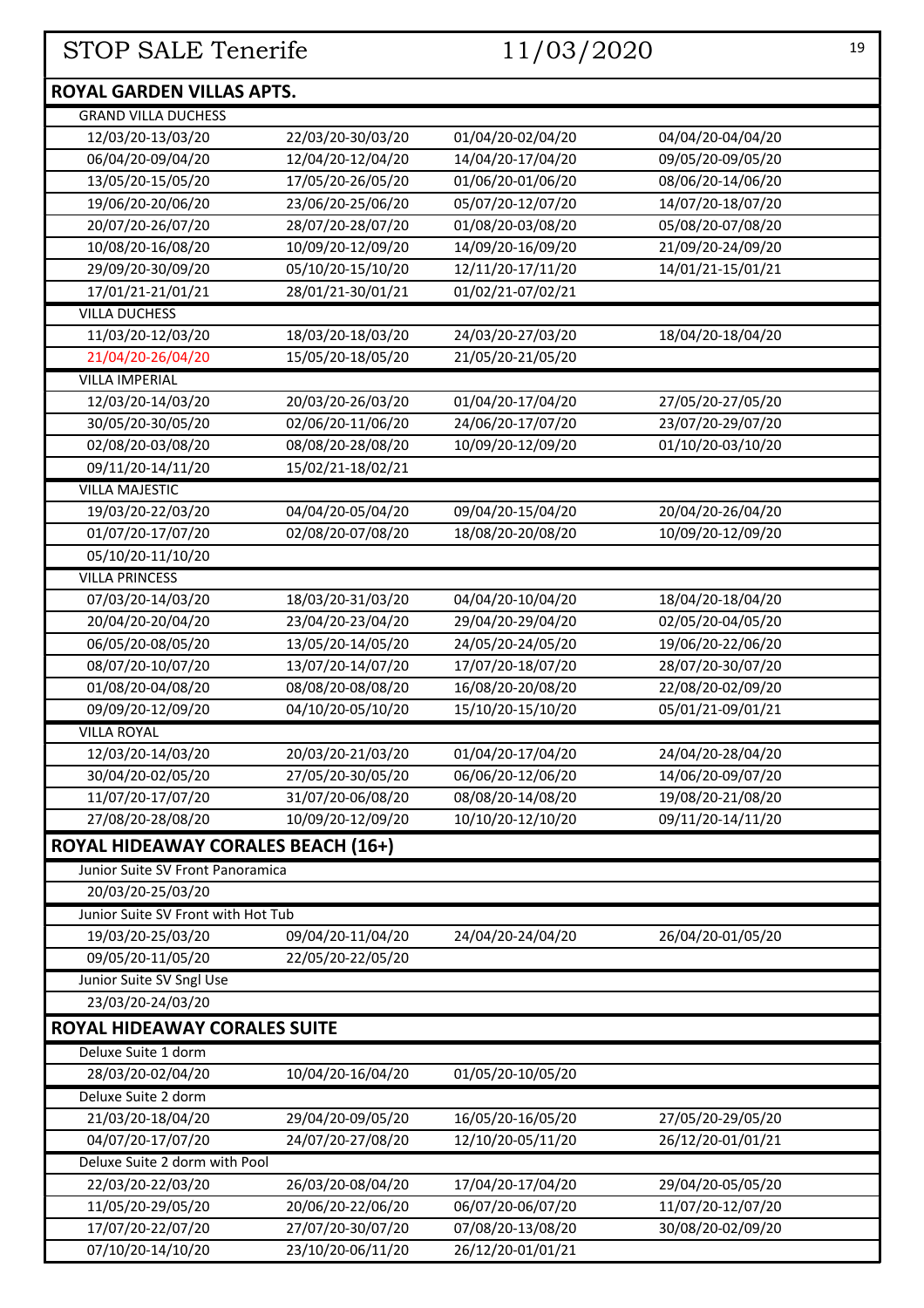### **ROYAL GARDEN VILLAS APTS.**

| <b>GRAND VILLA DUCHESS</b>                |                   |                   |                   |
|-------------------------------------------|-------------------|-------------------|-------------------|
| 12/03/20-13/03/20                         | 22/03/20-30/03/20 | 01/04/20-02/04/20 | 04/04/20-04/04/20 |
| 06/04/20-09/04/20                         | 12/04/20-12/04/20 | 14/04/20-17/04/20 | 09/05/20-09/05/20 |
| 13/05/20-15/05/20                         | 17/05/20-26/05/20 | 01/06/20-01/06/20 | 08/06/20-14/06/20 |
| 19/06/20-20/06/20                         | 23/06/20-25/06/20 | 05/07/20-12/07/20 | 14/07/20-18/07/20 |
| 20/07/20-26/07/20                         | 28/07/20-28/07/20 | 01/08/20-03/08/20 | 05/08/20-07/08/20 |
| 10/08/20-16/08/20                         | 10/09/20-12/09/20 | 14/09/20-16/09/20 | 21/09/20-24/09/20 |
| 29/09/20-30/09/20                         | 05/10/20-15/10/20 | 12/11/20-17/11/20 | 14/01/21-15/01/21 |
| 17/01/21-21/01/21                         | 28/01/21-30/01/21 | 01/02/21-07/02/21 |                   |
| <b>VILLA DUCHESS</b>                      |                   |                   |                   |
| 11/03/20-12/03/20                         | 18/03/20-18/03/20 | 24/03/20-27/03/20 | 18/04/20-18/04/20 |
| 21/04/20-26/04/20                         | 15/05/20-18/05/20 | 21/05/20-21/05/20 |                   |
| <b>VILLA IMPERIAL</b>                     |                   |                   |                   |
| 12/03/20-14/03/20                         | 20/03/20-26/03/20 | 01/04/20-17/04/20 | 27/05/20-27/05/20 |
| 30/05/20-30/05/20                         | 02/06/20-11/06/20 | 24/06/20-17/07/20 | 23/07/20-29/07/20 |
| 02/08/20-03/08/20                         | 08/08/20-28/08/20 | 10/09/20-12/09/20 | 01/10/20-03/10/20 |
| 09/11/20-14/11/20                         | 15/02/21-18/02/21 |                   |                   |
| <b>VILLA MAJESTIC</b>                     |                   |                   |                   |
| 19/03/20-22/03/20                         | 04/04/20-05/04/20 | 09/04/20-15/04/20 | 20/04/20-26/04/20 |
| 01/07/20-17/07/20                         | 02/08/20-07/08/20 | 18/08/20-20/08/20 | 10/09/20-12/09/20 |
| 05/10/20-11/10/20                         |                   |                   |                   |
| <b>VILLA PRINCESS</b>                     |                   |                   |                   |
| 07/03/20-14/03/20                         | 18/03/20-31/03/20 | 04/04/20-10/04/20 | 18/04/20-18/04/20 |
| 20/04/20-20/04/20                         | 23/04/20-23/04/20 | 29/04/20-29/04/20 | 02/05/20-04/05/20 |
| 06/05/20-08/05/20                         | 13/05/20-14/05/20 | 24/05/20-24/05/20 | 19/06/20-22/06/20 |
| 08/07/20-10/07/20                         | 13/07/20-14/07/20 | 17/07/20-18/07/20 | 28/07/20-30/07/20 |
| 01/08/20-04/08/20                         | 08/08/20-08/08/20 | 16/08/20-20/08/20 | 22/08/20-02/09/20 |
| 09/09/20-12/09/20                         | 04/10/20-05/10/20 | 15/10/20-15/10/20 | 05/01/21-09/01/21 |
| <b>VILLA ROYAL</b>                        |                   |                   |                   |
| 12/03/20-14/03/20                         | 20/03/20-21/03/20 | 01/04/20-17/04/20 | 24/04/20-28/04/20 |
| 30/04/20-02/05/20                         | 27/05/20-30/05/20 | 06/06/20-12/06/20 | 14/06/20-09/07/20 |
| 11/07/20-17/07/20                         | 31/07/20-06/08/20 | 08/08/20-14/08/20 | 19/08/20-21/08/20 |
| 27/08/20-28/08/20                         | 10/09/20-12/09/20 | 10/10/20-12/10/20 | 09/11/20-14/11/20 |
| <b>ROYAL HIDEAWAY CORALES BEACH (16+)</b> |                   |                   |                   |
| Junior Suite SV Front Panoramica          |                   |                   |                   |
| 20/03/20-25/03/20                         |                   |                   |                   |
| Junior Suite SV Front with Hot Tub        |                   |                   |                   |
| 19/03/20-25/03/20                         | 09/04/20-11/04/20 | 24/04/20-24/04/20 | 26/04/20-01/05/20 |
| 09/05/20-11/05/20                         | 22/05/20-22/05/20 |                   |                   |
| Junior Suite SV Sngl Use                  |                   |                   |                   |
| 23/03/20-24/03/20                         |                   |                   |                   |
| <b>ROYAL HIDEAWAY CORALES SUITE</b>       |                   |                   |                   |
| Deluxe Suite 1 dorm                       |                   |                   |                   |
| 28/03/20-02/04/20                         | 10/04/20-16/04/20 | 01/05/20-10/05/20 |                   |
| Deluxe Suite 2 dorm                       |                   |                   |                   |
| 21/03/20-18/04/20                         | 29/04/20-09/05/20 | 16/05/20-16/05/20 | 27/05/20-29/05/20 |
| 04/07/20-17/07/20                         | 24/07/20-27/08/20 | 12/10/20-05/11/20 | 26/12/20-01/01/21 |
| Deluxe Suite 2 dorm with Pool             |                   |                   |                   |
| 22/03/20-22/03/20                         | 26/03/20-08/04/20 | 17/04/20-17/04/20 | 29/04/20-05/05/20 |
| 11/05/20-29/05/20                         | 20/06/20-22/06/20 | 06/07/20-06/07/20 | 11/07/20-12/07/20 |
| 17/07/20-22/07/20                         | 27/07/20-30/07/20 | 07/08/20-13/08/20 | 30/08/20-02/09/20 |
| 07/10/20-14/10/20                         | 23/10/20-06/11/20 | 26/12/20-01/01/21 |                   |
|                                           |                   |                   |                   |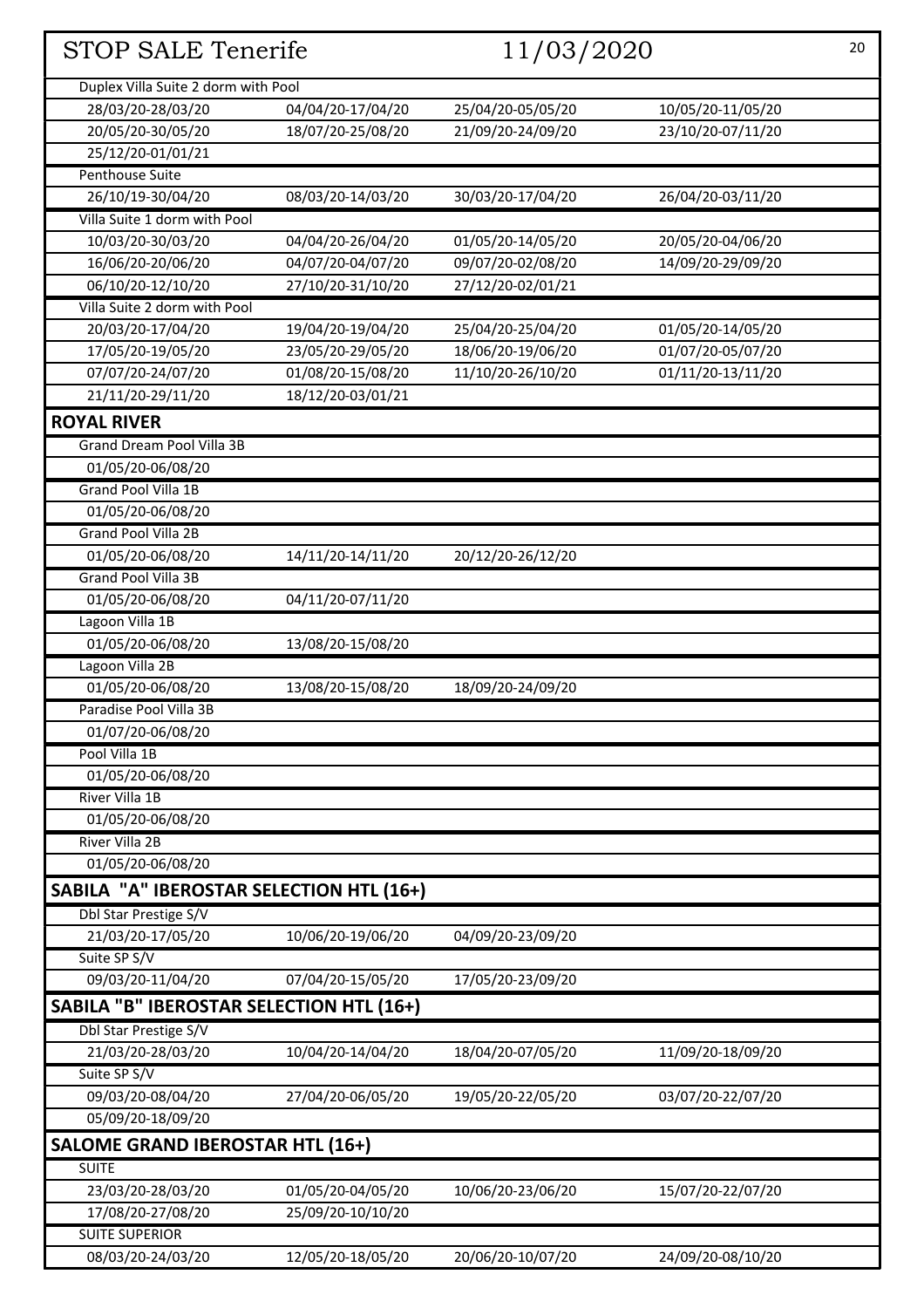| <b>STOP SALE Tenerife</b>                       |                   | 11/03/2020        |                   | 20 |
|-------------------------------------------------|-------------------|-------------------|-------------------|----|
| Duplex Villa Suite 2 dorm with Pool             |                   |                   |                   |    |
| 28/03/20-28/03/20                               | 04/04/20-17/04/20 | 25/04/20-05/05/20 | 10/05/20-11/05/20 |    |
| 20/05/20-30/05/20                               | 18/07/20-25/08/20 | 21/09/20-24/09/20 | 23/10/20-07/11/20 |    |
| 25/12/20-01/01/21                               |                   |                   |                   |    |
| Penthouse Suite                                 |                   |                   |                   |    |
| 26/10/19-30/04/20                               | 08/03/20-14/03/20 | 30/03/20-17/04/20 | 26/04/20-03/11/20 |    |
| Villa Suite 1 dorm with Pool                    |                   |                   |                   |    |
| 10/03/20-30/03/20                               | 04/04/20-26/04/20 | 01/05/20-14/05/20 | 20/05/20-04/06/20 |    |
| 16/06/20-20/06/20                               | 04/07/20-04/07/20 | 09/07/20-02/08/20 | 14/09/20-29/09/20 |    |
| 06/10/20-12/10/20                               | 27/10/20-31/10/20 | 27/12/20-02/01/21 |                   |    |
| Villa Suite 2 dorm with Pool                    |                   |                   |                   |    |
| 20/03/20-17/04/20                               | 19/04/20-19/04/20 | 25/04/20-25/04/20 | 01/05/20-14/05/20 |    |
| 17/05/20-19/05/20                               | 23/05/20-29/05/20 | 18/06/20-19/06/20 | 01/07/20-05/07/20 |    |
| 07/07/20-24/07/20                               | 01/08/20-15/08/20 | 11/10/20-26/10/20 | 01/11/20-13/11/20 |    |
| 21/11/20-29/11/20                               | 18/12/20-03/01/21 |                   |                   |    |
| <b>ROYAL RIVER</b>                              |                   |                   |                   |    |
| Grand Dream Pool Villa 3B                       |                   |                   |                   |    |
| 01/05/20-06/08/20                               |                   |                   |                   |    |
| <b>Grand Pool Villa 1B</b>                      |                   |                   |                   |    |
| 01/05/20-06/08/20                               |                   |                   |                   |    |
| Grand Pool Villa 2B                             |                   |                   |                   |    |
| 01/05/20-06/08/20                               | 14/11/20-14/11/20 | 20/12/20-26/12/20 |                   |    |
| Grand Pool Villa 3B                             |                   |                   |                   |    |
| 01/05/20-06/08/20                               | 04/11/20-07/11/20 |                   |                   |    |
| Lagoon Villa 1B                                 |                   |                   |                   |    |
| 01/05/20-06/08/20                               | 13/08/20-15/08/20 |                   |                   |    |
| Lagoon Villa 2B                                 |                   |                   |                   |    |
| 01/05/20-06/08/20                               | 13/08/20-15/08/20 | 18/09/20-24/09/20 |                   |    |
| Paradise Pool Villa 3B                          |                   |                   |                   |    |
| 01/07/20-06/08/20                               |                   |                   |                   |    |
| Pool Villa 1B                                   |                   |                   |                   |    |
| 01/05/20-06/08/20                               |                   |                   |                   |    |
| River Villa 1B                                  |                   |                   |                   |    |
| 01/05/20-06/08/20                               |                   |                   |                   |    |
| River Villa 2B                                  |                   |                   |                   |    |
| 01/05/20-06/08/20                               |                   |                   |                   |    |
| SABILA "A" IBEROSTAR SELECTION HTL (16+)        |                   |                   |                   |    |
| Dbl Star Prestige S/V                           |                   |                   |                   |    |
| 21/03/20-17/05/20                               | 10/06/20-19/06/20 | 04/09/20-23/09/20 |                   |    |
| Suite SP S/V                                    |                   |                   |                   |    |
| 09/03/20-11/04/20                               | 07/04/20-15/05/20 | 17/05/20-23/09/20 |                   |    |
| <b>SABILA "B" IBEROSTAR SELECTION HTL (16+)</b> |                   |                   |                   |    |
| Dbl Star Prestige S/V                           |                   |                   |                   |    |
| 21/03/20-28/03/20                               | 10/04/20-14/04/20 | 18/04/20-07/05/20 | 11/09/20-18/09/20 |    |
| Suite SP S/V                                    |                   |                   |                   |    |
| 09/03/20-08/04/20                               | 27/04/20-06/05/20 | 19/05/20-22/05/20 | 03/07/20-22/07/20 |    |
| 05/09/20-18/09/20                               |                   |                   |                   |    |
| <b>SALOME GRAND IBEROSTAR HTL (16+)</b>         |                   |                   |                   |    |
| <b>SUITE</b>                                    |                   |                   |                   |    |
| 23/03/20-28/03/20                               | 01/05/20-04/05/20 | 10/06/20-23/06/20 | 15/07/20-22/07/20 |    |
| 17/08/20-27/08/20                               | 25/09/20-10/10/20 |                   |                   |    |
| <b>SUITE SUPERIOR</b>                           |                   |                   |                   |    |
| 08/03/20-24/03/20                               | 12/05/20-18/05/20 | 20/06/20-10/07/20 | 24/09/20-08/10/20 |    |
|                                                 |                   |                   |                   |    |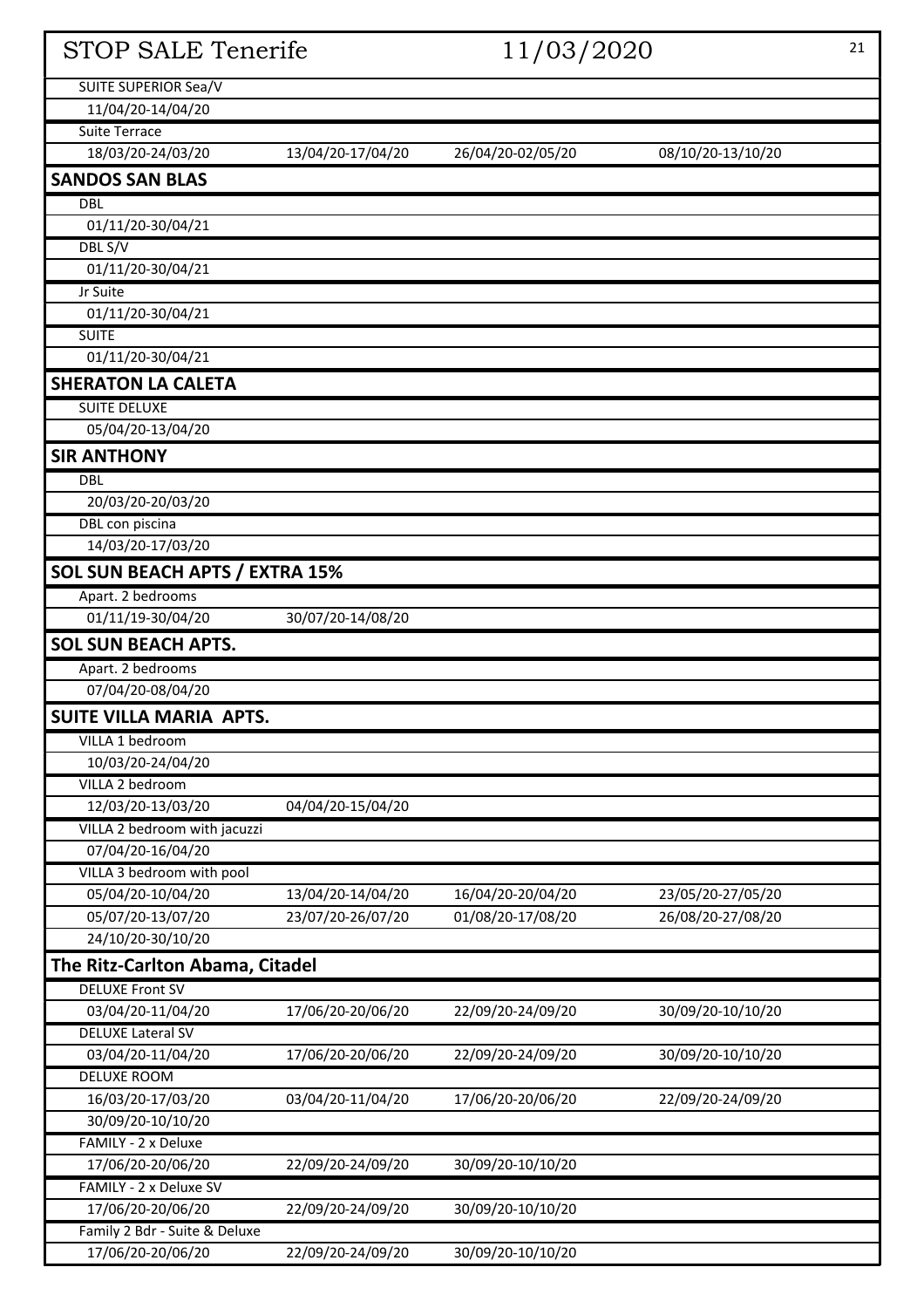| <b>STOP SALE Tenerife</b>                          |                   | 11/03/2020        |                   | 21 |
|----------------------------------------------------|-------------------|-------------------|-------------------|----|
| SUITE SUPERIOR Sea/V                               |                   |                   |                   |    |
| 11/04/20-14/04/20                                  |                   |                   |                   |    |
| <b>Suite Terrace</b>                               |                   |                   |                   |    |
| 18/03/20-24/03/20                                  | 13/04/20-17/04/20 | 26/04/20-02/05/20 | 08/10/20-13/10/20 |    |
| <b>SANDOS SAN BLAS</b>                             |                   |                   |                   |    |
| <b>DBL</b>                                         |                   |                   |                   |    |
| 01/11/20-30/04/21                                  |                   |                   |                   |    |
| DBL S/V                                            |                   |                   |                   |    |
| 01/11/20-30/04/21                                  |                   |                   |                   |    |
| Jr Suite                                           |                   |                   |                   |    |
| 01/11/20-30/04/21                                  |                   |                   |                   |    |
| <b>SUITE</b>                                       |                   |                   |                   |    |
| 01/11/20-30/04/21                                  |                   |                   |                   |    |
| <b>SHERATON LA CALETA</b>                          |                   |                   |                   |    |
| <b>SUITE DELUXE</b>                                |                   |                   |                   |    |
| 05/04/20-13/04/20                                  |                   |                   |                   |    |
| <b>SIR ANTHONY</b>                                 |                   |                   |                   |    |
| <b>DBL</b>                                         |                   |                   |                   |    |
| 20/03/20-20/03/20                                  |                   |                   |                   |    |
| DBL con piscina                                    |                   |                   |                   |    |
| 14/03/20-17/03/20                                  |                   |                   |                   |    |
| <b>SOL SUN BEACH APTS / EXTRA 15%</b>              |                   |                   |                   |    |
| Apart. 2 bedrooms                                  |                   |                   |                   |    |
| 01/11/19-30/04/20                                  | 30/07/20-14/08/20 |                   |                   |    |
| <b>SOL SUN BEACH APTS.</b>                         |                   |                   |                   |    |
| Apart. 2 bedrooms                                  |                   |                   |                   |    |
| 07/04/20-08/04/20                                  |                   |                   |                   |    |
| <b>SUITE VILLA MARIA APTS.</b>                     |                   |                   |                   |    |
| VILLA 1 bedroom                                    |                   |                   |                   |    |
| 10/03/20-24/04/20                                  |                   |                   |                   |    |
| VILLA 2 bedroom                                    |                   |                   |                   |    |
| 12/03/20-13/03/20                                  | 04/04/20-15/04/20 |                   |                   |    |
| VILLA 2 bedroom with jacuzzi                       |                   |                   |                   |    |
| 07/04/20-16/04/20                                  |                   |                   |                   |    |
| VILLA 3 bedroom with pool                          |                   |                   |                   |    |
| 05/04/20-10/04/20                                  | 13/04/20-14/04/20 | 16/04/20-20/04/20 | 23/05/20-27/05/20 |    |
| 05/07/20-13/07/20                                  | 23/07/20-26/07/20 | 01/08/20-17/08/20 | 26/08/20-27/08/20 |    |
| 24/10/20-30/10/20                                  |                   |                   |                   |    |
| The Ritz-Carlton Abama, Citadel                    |                   |                   |                   |    |
| <b>DELUXE Front SV</b>                             |                   |                   |                   |    |
| 03/04/20-11/04/20                                  | 17/06/20-20/06/20 | 22/09/20-24/09/20 | 30/09/20-10/10/20 |    |
| <b>DELUXE Lateral SV</b>                           |                   |                   |                   |    |
| 03/04/20-11/04/20                                  | 17/06/20-20/06/20 | 22/09/20-24/09/20 | 30/09/20-10/10/20 |    |
| <b>DELUXE ROOM</b>                                 |                   |                   |                   |    |
| 16/03/20-17/03/20                                  | 03/04/20-11/04/20 | 17/06/20-20/06/20 | 22/09/20-24/09/20 |    |
| 30/09/20-10/10/20                                  |                   |                   |                   |    |
| FAMILY - 2 x Deluxe                                |                   |                   |                   |    |
| 17/06/20-20/06/20                                  | 22/09/20-24/09/20 | 30/09/20-10/10/20 |                   |    |
| FAMILY - 2 x Deluxe SV                             |                   |                   |                   |    |
| 17/06/20-20/06/20<br>Family 2 Bdr - Suite & Deluxe | 22/09/20-24/09/20 | 30/09/20-10/10/20 |                   |    |
| 17/06/20-20/06/20                                  | 22/09/20-24/09/20 | 30/09/20-10/10/20 |                   |    |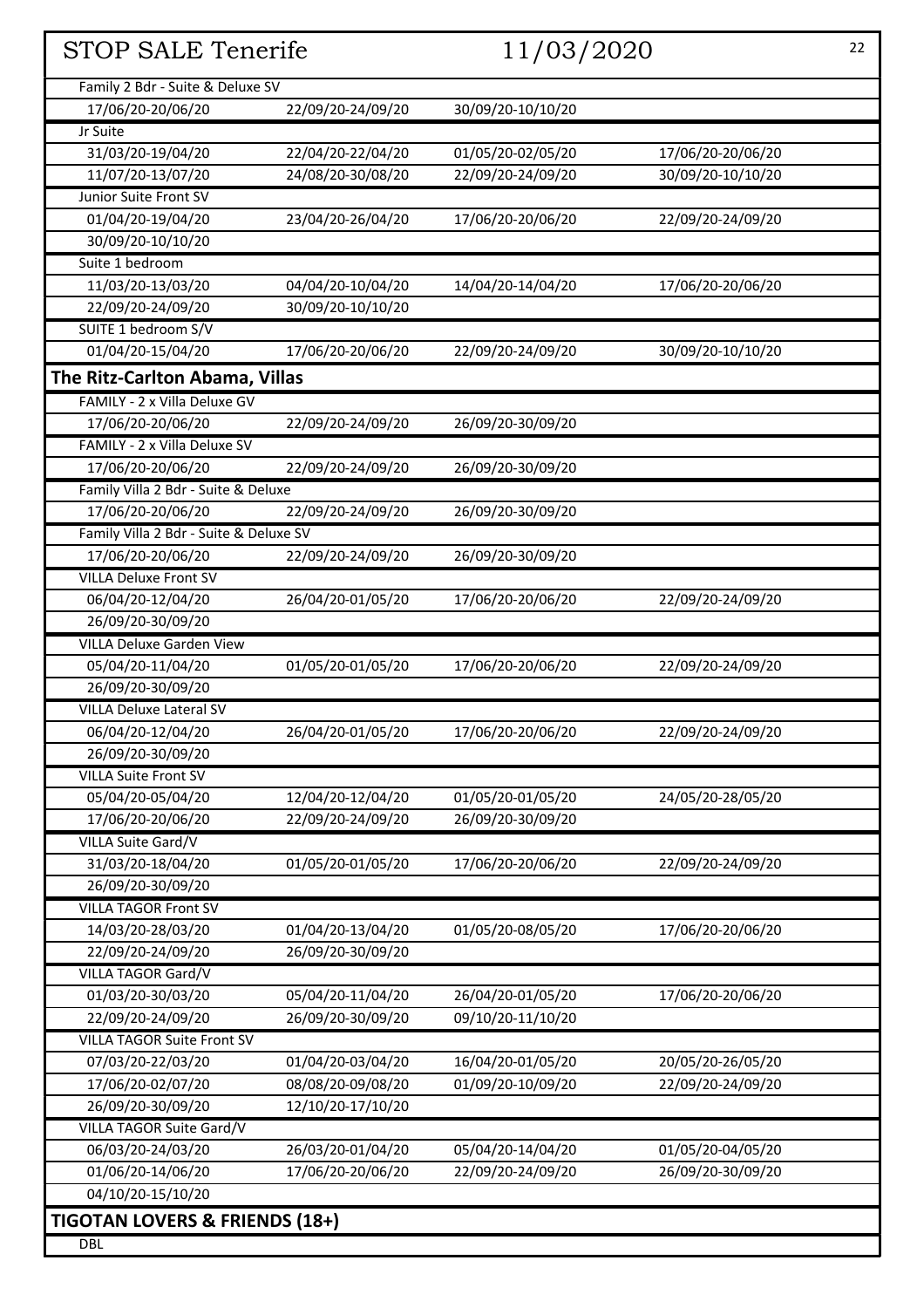| STOP SALE Tenerife                        |                   | 11/03/2020        |                   | 22 |
|-------------------------------------------|-------------------|-------------------|-------------------|----|
|                                           |                   |                   |                   |    |
| Family 2 Bdr - Suite & Deluxe SV          |                   |                   |                   |    |
| 17/06/20-20/06/20                         | 22/09/20-24/09/20 | 30/09/20-10/10/20 |                   |    |
| Jr Suite                                  |                   |                   |                   |    |
| 31/03/20-19/04/20                         | 22/04/20-22/04/20 | 01/05/20-02/05/20 | 17/06/20-20/06/20 |    |
| 11/07/20-13/07/20                         | 24/08/20-30/08/20 | 22/09/20-24/09/20 | 30/09/20-10/10/20 |    |
| Junior Suite Front SV                     |                   |                   |                   |    |
| 01/04/20-19/04/20                         | 23/04/20-26/04/20 | 17/06/20-20/06/20 | 22/09/20-24/09/20 |    |
| 30/09/20-10/10/20                         |                   |                   |                   |    |
| Suite 1 bedroom                           |                   |                   |                   |    |
| 11/03/20-13/03/20                         | 04/04/20-10/04/20 | 14/04/20-14/04/20 | 17/06/20-20/06/20 |    |
| 22/09/20-24/09/20                         | 30/09/20-10/10/20 |                   |                   |    |
| SUITE 1 bedroom S/V<br>01/04/20-15/04/20  |                   |                   |                   |    |
|                                           | 17/06/20-20/06/20 | 22/09/20-24/09/20 | 30/09/20-10/10/20 |    |
| The Ritz-Carlton Abama, Villas            |                   |                   |                   |    |
| FAMILY - 2 x Villa Deluxe GV              |                   |                   |                   |    |
| 17/06/20-20/06/20                         | 22/09/20-24/09/20 | 26/09/20-30/09/20 |                   |    |
| FAMILY - 2 x Villa Deluxe SV              |                   |                   |                   |    |
| 17/06/20-20/06/20                         | 22/09/20-24/09/20 | 26/09/20-30/09/20 |                   |    |
| Family Villa 2 Bdr - Suite & Deluxe       |                   |                   |                   |    |
| 17/06/20-20/06/20                         | 22/09/20-24/09/20 | 26/09/20-30/09/20 |                   |    |
| Family Villa 2 Bdr - Suite & Deluxe SV    |                   |                   |                   |    |
| 17/06/20-20/06/20                         | 22/09/20-24/09/20 | 26/09/20-30/09/20 |                   |    |
| <b>VILLA Deluxe Front SV</b>              |                   |                   |                   |    |
| 06/04/20-12/04/20                         | 26/04/20-01/05/20 | 17/06/20-20/06/20 | 22/09/20-24/09/20 |    |
| 26/09/20-30/09/20                         |                   |                   |                   |    |
| <b>VILLA Deluxe Garden View</b>           |                   |                   |                   |    |
| 05/04/20-11/04/20                         | 01/05/20-01/05/20 | 17/06/20-20/06/20 | 22/09/20-24/09/20 |    |
| 26/09/20-30/09/20                         |                   |                   |                   |    |
| <b>VILLA Deluxe Lateral SV</b>            |                   |                   |                   |    |
| 06/04/20-12/04/20                         | 26/04/20-01/05/20 | 17/06/20-20/06/20 | 22/09/20-24/09/20 |    |
| 26/09/20-30/09/20                         |                   |                   |                   |    |
| <b>VILLA Suite Front SV</b>               |                   |                   |                   |    |
| 05/04/20-05/04/20                         | 12/04/20-12/04/20 | 01/05/20-01/05/20 | 24/05/20-28/05/20 |    |
| 17/06/20-20/06/20                         | 22/09/20-24/09/20 | 26/09/20-30/09/20 |                   |    |
| VILLA Suite Gard/V                        |                   |                   |                   |    |
| 31/03/20-18/04/20                         | 01/05/20-01/05/20 | 17/06/20-20/06/20 | 22/09/20-24/09/20 |    |
| 26/09/20-30/09/20                         |                   |                   |                   |    |
| <b>VILLA TAGOR Front SV</b>               |                   |                   |                   |    |
| 14/03/20-28/03/20                         | 01/04/20-13/04/20 | 01/05/20-08/05/20 | 17/06/20-20/06/20 |    |
| 22/09/20-24/09/20                         | 26/09/20-30/09/20 |                   |                   |    |
| VILLA TAGOR Gard/V                        |                   |                   |                   |    |
| 01/03/20-30/03/20                         | 05/04/20-11/04/20 | 26/04/20-01/05/20 | 17/06/20-20/06/20 |    |
| 22/09/20-24/09/20                         | 26/09/20-30/09/20 | 09/10/20-11/10/20 |                   |    |
| <b>VILLA TAGOR Suite Front SV</b>         |                   |                   |                   |    |
| 07/03/20-22/03/20                         | 01/04/20-03/04/20 | 16/04/20-01/05/20 | 20/05/20-26/05/20 |    |
| 17/06/20-02/07/20                         | 08/08/20-09/08/20 | 01/09/20-10/09/20 | 22/09/20-24/09/20 |    |
| 26/09/20-30/09/20                         | 12/10/20-17/10/20 |                   |                   |    |
| VILLA TAGOR Suite Gard/V                  |                   |                   |                   |    |
| 06/03/20-24/03/20                         | 26/03/20-01/04/20 | 05/04/20-14/04/20 | 01/05/20-04/05/20 |    |
| 01/06/20-14/06/20                         | 17/06/20-20/06/20 | 22/09/20-24/09/20 | 26/09/20-30/09/20 |    |
| 04/10/20-15/10/20                         |                   |                   |                   |    |
| <b>TIGOTAN LOVERS &amp; FRIENDS (18+)</b> |                   |                   |                   |    |
| <b>DBL</b>                                |                   |                   |                   |    |